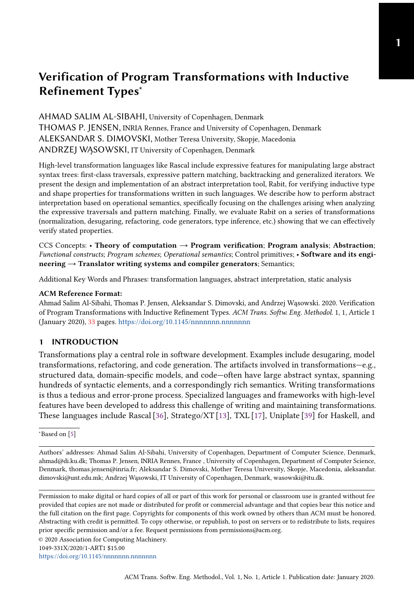AHMAD SALIM AL-SIBAHI, University of Copenhagen, Denmark THOMAS P. JENSEN, INRIA Rennes, France and University of Copenhagen, Denmark ALEKSANDAR S. DIMOVSKI, Mother Teresa University, Skopje, Macedonia ANDRZEJ WĄSOWSKI, IT University of Copenhagen, Denmark

High-level transformation languages like Rascal include expressive features for manipulating large abstract syntax trees: first-class traversals, expressive pattern matching, backtracking and generalized iterators. We present the design and implementation of an abstract interpretation tool, Rabit, for verifying inductive type and shape properties for transformations written in such languages. We describe how to perform abstract interpretation based on operational semantics, specifically focusing on the challenges arising when analyzing the expressive traversals and pattern matching. Finally, we evaluate Rabit on a series of transformations (normalization, desugaring, refactoring, code generators, type inference, etc.) showing that we can effectively verify stated properties.

CCS Concepts: • Theory of computation  $\rightarrow$  Program verification; Program analysis; Abstraction; Functional constructs; Program schemes; Operational semantics; Control primitives; • Software and its engineering → Translator writing systems and compiler generators; Semantics;

Additional Key Words and Phrases: transformation languages, abstract interpretation, static analysis

#### ACM Reference Format:

Ahmad Salim Al-Sibahi, Thomas P. Jensen, Aleksandar S. Dimovski, and Andrzej Wąsowski. 2020. Verification of Program Transformations with Inductive Refinement Types. ACM Trans. Softw. Eng. Methodol. 1, 1, Article 1 (January 2020), [33](#page-32-0) pages. <https://doi.org/10.1145/nnnnnnn.nnnnnnn>

## 1 INTRODUCTION

Transformations play a central role in software development. Examples include desugaring, model transformations, refactoring, and code generation. The artifacts involved in transformations—e.g., structured data, domain-specific models, and code—often have large abstract syntax, spanning hundreds of syntactic elements, and a correspondingly rich semantics. Writing transformations is thus a tedious and error-prone process. Specialized languages and frameworks with high-level features have been developed to address this challenge of writing and maintaining transformations. These languages include Rascal [\[36\]](#page-25-0), Stratego/XT [\[13\]](#page-24-0), TXL [\[17\]](#page-24-1), Uniplate [\[39\]](#page-25-1) for Haskell, and

1049-331X/2020/1-ART1 \$15.00

<https://doi.org/10.1145/nnnnnnn.nnnnnnn>

<sup>∗</sup>Based on [\[5\]](#page-24-2)

Authors' addresses: Ahmad Salim Al-Sibahi, University of Copenhagen, Department of Computer Science, Denmark, ahmad@di.ku.dk; Thomas P. Jensen, INRIA Rennes, France , University of Copenhagen, Department of Computer Science, Denmark, thomas.jensen@inria.fr; Aleksandar S. Dimovski, Mother Teresa University, Skopje, Macedonia, aleksandar. dimovski@unt.edu.mk; Andrzej Wąsowski, IT University of Copenhagen, Denmark, wasowski@itu.dk.

Permission to make digital or hard copies of all or part of this work for personal or classroom use is granted without fee provided that copies are not made or distributed for profit or commercial advantage and that copies bear this notice and the full citation on the first page. Copyrights for components of this work owned by others than ACM must be honored. Abstracting with credit is permitted. To copy otherwise, or republish, to post on servers or to redistribute to lists, requires prior specific permission and/or a fee. Request permissions from permissions@acm.org.

<sup>©</sup> 2020 Association for Computing Machinery.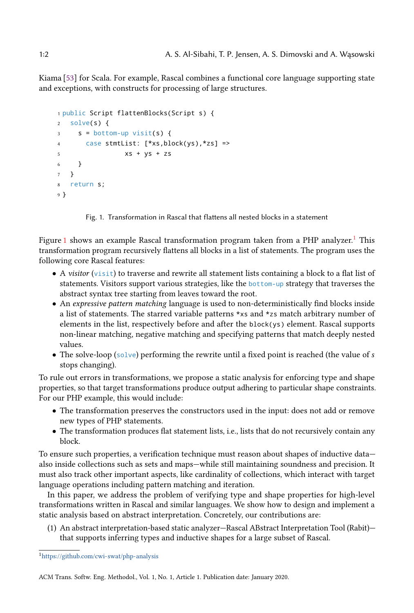Kiama [\[53\]](#page-26-0) for Scala. For example, Rascal combines a functional core language supporting state and exceptions, with constructs for processing of large structures.

```
1 public Script flattenBlocks(Script s) {
2 solve(s) {
s = bottom-up \text{visit}(s) {
4 case stmtList: [*xs,block(ys),*zs] =>
5 xs + ys + zs
6 }
7 }
8 return s;
9 }
```
Fig. 1. Transformation in Rascal that flattens all nested blocks in a statement

Figure [1](#page-1-1) shows an example Rascal transformation program taken from a PHP analyzer.<sup>1</sup> This transformation program recursively flattens all blocks in a list of statements. The program uses the following core Rascal features:

- A visitor (visit) to traverse and rewrite all statement lists containing a block to a flat list of statements. Visitors support various strategies, like the bottom-up strategy that traverses the abstract syntax tree starting from leaves toward the root.
- An expressive pattern matching language is used to non-deterministically find blocks inside a list of statements. The starred variable patterns \*xs and \*zs match arbitrary number of elements in the list, respectively before and after the  $block(ys)$  element. Rascal supports non-linear matching, negative matching and specifying patterns that match deeply nested values.
- The solve-loop (solve) performing the rewrite until a fixed point is reached (the value of  $s$ stops changing).

To rule out errors in transformations, we propose a static analysis for enforcing type and shape properties, so that target transformations produce output adhering to particular shape constraints. For our PHP example, this would include:

- The transformation preserves the constructors used in the input: does not add or remove new types of PHP statements.
- The transformation produces flat statement lists, i.e., lists that do not recursively contain any block.

To ensure such properties, a verification technique must reason about shapes of inductive data also inside collections such as sets and maps—while still maintaining soundness and precision. It must also track other important aspects, like cardinality of collections, which interact with target language operations including pattern matching and iteration.

In this paper, we address the problem of verifying type and shape properties for high-level transformations written in Rascal and similar languages. We show how to design and implement a static analysis based on abstract interpretation. Concretely, our contributions are:

(1) An abstract interpretation-based static analyzer—Rascal ABstract Interpretation Tool (Rabit) that supports inferring types and inductive shapes for a large subset of Rascal.

<span id="page-1-1"></span><sup>1</sup><https://github.com/cwi-swat/php-analysis>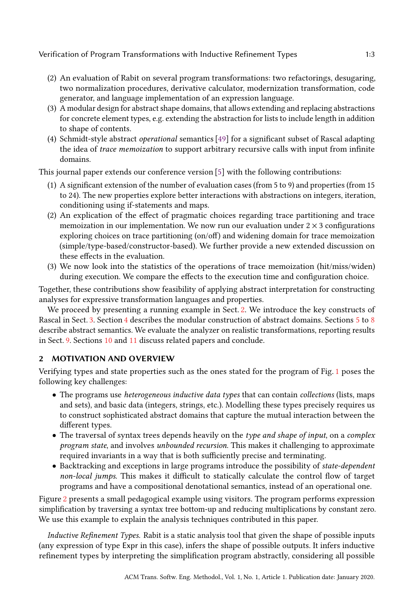- (2) An evaluation of Rabit on several program transformations: two refactorings, desugaring, two normalization procedures, derivative calculator, modernization transformation, code generator, and language implementation of an expression language.
- (3) A modular design for abstract shape domains, that allows extending and replacing abstractions for concrete element types, e.g. extending the abstraction for lists to include length in addition to shape of contents.
- (4) Schmidt-style abstract operational semantics [\[49\]](#page-25-2) for a significant subset of Rascal adapting the idea of trace memoization to support arbitrary recursive calls with input from infinite domains.

This journal paper extends our conference version [\[5\]](#page-24-2) with the following contributions:

- (1) A significant extension of the number of evaluation cases (from 5 to 9) and properties (from 15 to 24). The new properties explore better interactions with abstractions on integers, iteration, conditioning using if-statements and maps.
- (2) An explication of the effect of pragmatic choices regarding trace partitioning and trace memoization in our implementation. We now run our evaluation under  $2 \times 3$  configurations exploring choices on trace partitioning (on/off) and widening domain for trace memoization (simple/type-based/constructor-based). We further provide a new extended discussion on these effects in the evaluation.
- (3) We now look into the statistics of the operations of trace memoization (hit/miss/widen) during execution. We compare the effects to the execution time and configuration choice.

Together, these contributions show feasibility of applying abstract interpretation for constructing analyses for expressive transformation languages and properties.

We proceed by presenting a running example in Sect. [2.](#page-2-0) We introduce the key constructs of Rascal in Sect. [3.](#page-6-0) Section [4](#page-7-0) describes the modular construction of abstract domains. Sections [5](#page-9-0) to [8](#page-15-0) describe abstract semantics. We evaluate the analyzer on realistic transformations, reporting results in Sect. [9.](#page-16-0) Sections [10](#page-22-0) and [11](#page-23-0) discuss related papers and conclude.

# <span id="page-2-0"></span>2 MOTIVATION AND OVERVIEW

Verifying types and state properties such as the ones stated for the program of Fig. [1](#page-1-0) poses the following key challenges:

- The programs use *heterogeneous inductive data types* that can contain *collections* (lists, maps and sets), and basic data (integers, strings, etc.). Modelling these types precisely requires us to construct sophisticated abstract domains that capture the mutual interaction between the different types.
- The traversal of syntax trees depends heavily on the type and shape of input, on a complex program state, and involves unbounded recursion. This makes it challenging to approximate required invariants in a way that is both sufficiently precise and terminating.
- Backtracking and exceptions in large programs introduce the possibility of state-dependent non-local jumps. This makes it difficult to statically calculate the control flow of target programs and have a compositional denotational semantics, instead of an operational one.

Figure [2](#page-3-0) presents a small pedagogical example using visitors. The program performs expression simplification by traversing a syntax tree bottom-up and reducing multiplications by constant zero. We use this example to explain the analysis techniques contributed in this paper.

Inductive Refinement Types. Rabit is a static analysis tool that given the shape of possible inputs (any expression of type Expr in this case), infers the shape of possible outputs. It infers inductive refinement types by interpreting the simplification program abstractly, considering all possible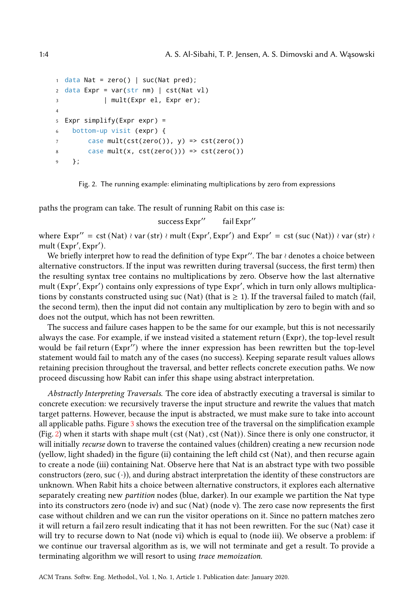```
1 data Nat = zero() | suc(Nat pred);
2 data Expr = var(str nm) | cst(Nat vl)
3 | mult(Expr el, Expr er);
4
  Expr simplify(Expr expr) =
6 bottom-up visit (expr) {
7 \text{ case } mult(cst(zero()), y) \Rightarrow cst(zero())8 case mult(x, cst(zero())) => cst(zero())
    9 };
```
Fig. 2. The running example: eliminating multiplications by zero from expressions

paths the program can take. The result of running Rabit on this case is:

success Expr" fail Expr"

where Expr′′ = cst (Nat) ≀ var (str) ≀ mult (Expr′ , Expr′ ) and Expr′ = cst (suc (Nat)) ≀ var (str) ≀ mult (Expr′ , Expr′ ).

We briefly interpret how to read the definition of type Expr′′. The bar ≀ denotes a choice between alternative constructors. If the input was rewritten during traversal (success, the first term) then the resulting syntax tree contains no multiplications by zero. Observe how the last alternative mult (Expr′ , Expr′ ) contains only expressions of type Expr′ , which in turn only allows multiplications by constants constructed using suc (Nat) (that is  $\geq$  1). If the traversal failed to match (fail, the second term), then the input did not contain any multiplication by zero to begin with and so does not the output, which has not been rewritten.

The success and failure cases happen to be the same for our example, but this is not necessarily always the case. For example, if we instead visited a statement return (Expr), the top-level result would be fail return (Expr′′) where the inner expression has been rewritten but the top-level statement would fail to match any of the cases (no success). Keeping separate result values allows retaining precision throughout the traversal, and better reflects concrete execution paths. We now proceed discussing how Rabit can infer this shape using abstract interpretation.

Abstractly Interpreting Traversals. The core idea of abstractly executing a traversal is similar to concrete execution: we recursively traverse the input structure and rewrite the values that match target patterns. However, because the input is abstracted, we must make sure to take into account all applicable paths. Figure [3](#page-4-0) shows the execution tree of the traversal on the simplification example (Fig. [2\)](#page-3-0) when it starts with shape mult (cst (Nat) , cst (Nat)). Since there is only one constructor, it will initially *recurse* down to traverse the contained values (children) creating a new recursion node (yellow, light shaded) in the figure (ii) containing the left child cst (Nat), and then recurse again to create a node (iii) containing Nat. Observe here that Nat is an abstract type with two possible constructors (zero, suc  $(\cdot)$ ), and during abstract interpretation the identity of these constructors are unknown. When Rabit hits a choice between alternative constructors, it explores each alternative separately creating new partition nodes (blue, darker). In our example we partition the Nat type into its constructors zero (node iv) and suc (Nat) (node v). The zero case now represents the first case without children and we can run the visitor operations on it. Since no pattern matches zero it will return a fail zero result indicating that it has not been rewritten. For the suc (Nat) case it will try to recurse down to Nat (node vi) which is equal to (node iii). We observe a problem: if we continue our traversal algorithm as is, we will not terminate and get a result. To provide a terminating algorithm we will resort to using trace memoization.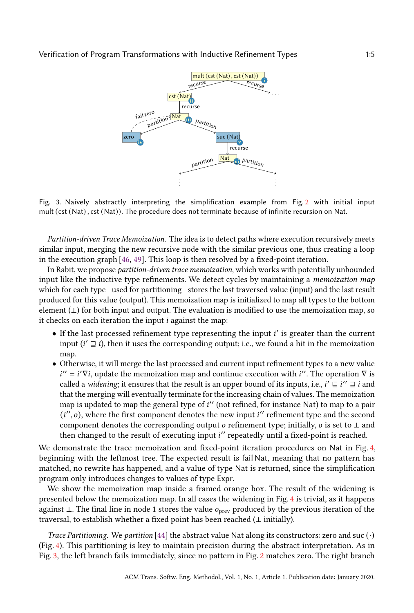<span id="page-4-0"></span>

Fig. 3. Naively abstractly interpreting the simplification example from Fig. [2](#page-3-0) with initial input mult (cst (Nat) , cst (Nat)). The procedure does not terminate because of infinite recursion on Nat.

Partition-driven Trace Memoization. The idea is to detect paths where execution recursively meets similar input, merging the new recursive node with the similar previous one, thus creating a loop in the execution graph [\[46,](#page-25-3) [49\]](#page-25-2). This loop is then resolved by a fixed-point iteration.

In Rabit, we propose partition-driven trace memoization, which works with potentially unbounded input like the inductive type refinements. We detect cycles by maintaining a *memoization map* which for each type—used for partitioning—stores the last traversed value (input) and the last result produced for this value (output). This memoization map is initialized to map all types to the bottom element  $(\perp)$  for both input and output. The evaluation is modified to use the memoization map, so it checks on each iteration the input  $i$  against the map:

- If the last processed refinement type representing the input *i'* is greater than the current input ( $i' \rightrightarrows i$ ), then it uses the corresponding output; i.e., we found a hit in the memoization map.
- Otherwise, it will merge the last processed and current input refinement types to a new value  $i'' = i'\nabla i$ , update the memoization map and continue execution with  $i''$ . The operation  $\nabla$  is called a *widening*; it ensures that the result is an upper bound of its inputs, i.e.,  $i' \sqsubseteq i'' \sqsupseteq i$  and that the merging will eventually terminate for the increasing chain of values. The memoization map is updated to map the general type of i'' (not refined, for instance Nat) to map to a pair  $(i'', o)$ , where the first component denotes the new input  $i''$  refinement type and the second component denotes the corresponding output  $o$  refinement type; initially,  $o$  is set to  $\perp$  and then changed to the result of executing input ′′ repeatedly until a fixed-point is reached.

We demonstrate the trace memoization and fixed-point iteration procedures on Nat in Fig. [4,](#page-5-0) beginning with the leftmost tree. The expected result is fail Nat, meaning that no pattern has matched, no rewrite has happened, and a value of type Nat is returned, since the simplification program only introduces changes to values of type Expr.

We show the memoization map inside a framed orange box. The result of the widening is presented below the memoization map. In all cases the widening in Fig. [4](#page-5-0) is trivial, as it happens against ⊥. The final line in node 1 stores the value  $o_{prev}$  produced by the previous iteration of the traversal, to establish whether a fixed point has been reached  $(\bot \text{ initially})$ .

Trace Partitioning. We partition [\[44\]](#page-25-4) the abstract value Nat along its constructors: zero and suc  $(\cdot)$ (Fig. [4\)](#page-5-0). This partitioning is key to maintain precision during the abstract interpretation. As in Fig. [3,](#page-4-0) the left branch fails immediately, since no pattern in Fig. [2](#page-3-0) matches zero. The right branch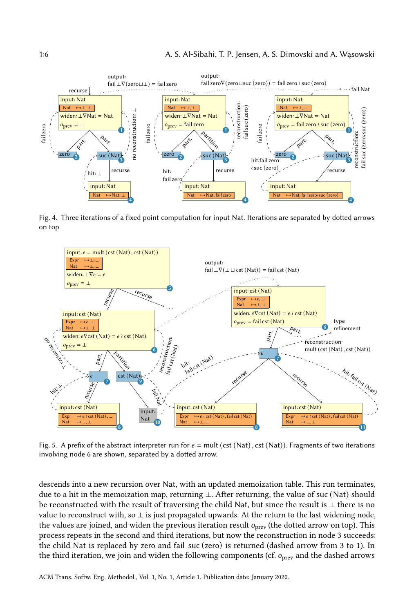<span id="page-5-0"></span>

Fig. 4. Three iterations of a fixed point computation for input Nat. Iterations are separated by dotted arrows on top

<span id="page-5-1"></span>

Fig. 5. A prefix of the abstract interpreter run for  $e = \text{mult}(\text{cst}(\text{Nat}), \text{cst}(\text{Nat}))$ . Fragments of two iterations involving node 6 are shown, separated by a dotted arrow.

descends into a new recursion over Nat, with an updated memoization table. This run terminates, due to a hit in the memoization map, returning ⊥. After returning, the value of suc (Nat) should be reconstructed with the result of traversing the child Nat, but since the result is ⊥ there is no value to reconstruct with, so ⊥ is just propagated upwards. At the return to the last widening node, the values are joined, and widen the previous iteration result  $o_{prev}$  (the dotted arrow on top). This process repeats in the second and third iterations, but now the reconstruction in node 3 succeeds: the child Nat is replaced by zero and fail suc (zero) is returned (dashed arrow from 3 to 1). In the third iteration, we join and widen the following components (cf.  $o<sub>prev</sub>$  and the dashed arrows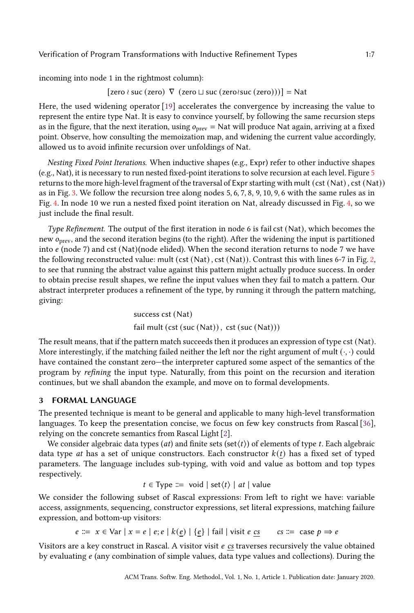incoming into node 1 in the rightmost column):

[zero ≀ suc (zero)  $\nabla$  (zero  $\sqcup$  suc (zero≀suc (zero)))] = Nat

Here, the used widening operator [\[19\]](#page-24-3) accelerates the convergence by increasing the value to represent the entire type Nat. It is easy to convince yourself, by following the same recursion steps as in the figure, that the next iteration, using  $o_{prev} =$  Nat will produce Nat again, arriving at a fixed point. Observe, how consulting the memoization map, and widening the current value accordingly, allowed us to avoid infinite recursion over unfoldings of Nat.

Nesting Fixed Point Iterations. When inductive shapes (e.g., Expr) refer to other inductive shapes (e.g., Nat), it is necessary to run nested fixed-point iterations to solve recursion at each level. Figure [5](#page-5-1) returns to the more high-level fragment of the traversal of Expr starting with mult (cst (Nat), cst (Nat)) as in Fig. [3.](#page-4-0) We follow the recursion tree along nodes 5, 6, 7, 8, 9, 10, 9, 6 with the same rules as in Fig. [4.](#page-5-0) In node 10 we run a nested fixed point iteration on Nat, already discussed in Fig. [4,](#page-5-0) so we just include the final result.

Type Refinement. The output of the first iteration in node 6 is fail cst (Nat), which becomes the new  $o<sub>prev</sub>$ , and the second iteration begins (to the right). After the widening the input is partitioned into  $e$  (node 7) and cst (Nat)(node elided). When the second iteration returns to node 7 we have the following reconstructed value: mult (cst (Nat) , cst (Nat)). Contrast this with lines 6-7 in Fig. [2,](#page-3-0) to see that running the abstract value against this pattern might actually produce success. In order to obtain precise result shapes, we refine the input values when they fail to match a pattern. Our abstract interpreter produces a refinement of the type, by running it through the pattern matching, giving:

> success cst (Nat) fail mult (cst (suc (Nat)), cst (suc (Nat)))

The result means, that if the pattern match succeeds then it produces an expression of type cst (Nat). More interestingly, if the matching failed neither the left nor the right argument of mult  $(\cdot, \cdot)$  could have contained the constant zero—the interpreter captured some aspect of the semantics of the program by refining the input type. Naturally, from this point on the recursion and iteration continues, but we shall abandon the example, and move on to formal developments.

# <span id="page-6-0"></span>3 FORMAL LANGUAGE

The presented technique is meant to be general and applicable to many high-level transformation languages. To keep the presentation concise, we focus on few key constructs from Rascal [\[36\]](#page-25-0), relying on the concrete semantics from Rascal Light [\[2\]](#page-24-4).

We consider algebraic data types (at) and finite sets (set $(t)$ ) of elements of type t. Each algebraic data type at has a set of unique constructors. Each constructor  $k(t)$  has a fixed set of typed parameters. The language includes sub-typing, with void and value as bottom and top types respectively.

$$
t \in \text{Type} ::= \text{void} | \text{set}(t) | \text{at} | \text{value}
$$

We consider the following subset of Rascal expressions: From left to right we have: variable access, assignments, sequencing, constructor expressions, set literal expressions, matching failure expression, and bottom-up visitors:

 $e := x \in \text{Var} | x = e | e; e | k(e) | \{e\} | \text{fail} | \text{visit } e \text{ cs} \quad \text{cs} := \text{case } p \Rightarrow e$ 

Visitors are a key construct in Rascal. A visitor visit  $e$  cs traverses recursively the value obtained by evaluating  $e$  (any combination of simple values, data type values and collections). During the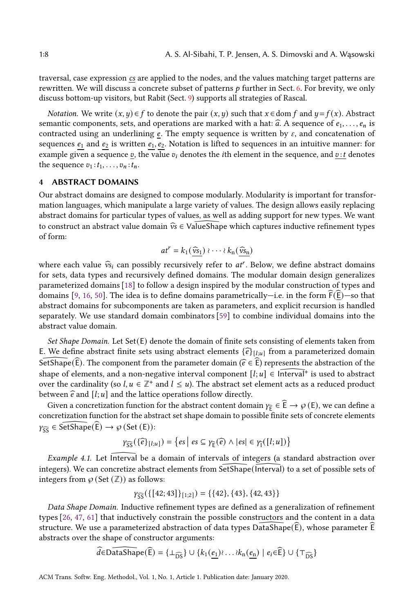traversal, case expression cs are applied to the nodes, and the values matching target patterns are rewritten. We will discuss a concrete subset of patterns  $p$  further in Sect. [6.](#page-11-0) For brevity, we only discuss bottom-up visitors, but Rabit (Sect. [9\)](#page-16-0) supports all strategies of Rascal.

*Notation.* We write  $(x, y) \in f$  to denote the pair  $(x, y)$  such that  $x \in \text{dom } f$  and  $y = f(x)$ . Abstract semantic components, sets, and operations are marked with a hat:  $\hat{a}$ . A sequence of  $e_1, \ldots, e_n$  is contracted using an underlining  $e$ . The empty sequence is written by  $\varepsilon$ , and concatenation of sequences  $e_1$  and  $e_2$  is written  $e_1, e_2$ . Notation is lifted to sequences in an intuitive manner: for example given a sequence  $v$ , the value  $v_i$  denotes the *i*th element in the sequence, and  $v : t$  denotes the sequence  $v_1 : t_1, \ldots, v_n : t_n$ .

### <span id="page-7-0"></span>4 ABSTRACT DOMAINS

Our abstract domains are designed to compose modularly. Modularity is important for transformation languages, which manipulate a large variety of values. The design allows easily replacing abstract domains for particular types of values, as well as adding support for new types. We want to construct an abstract value domain  $\hat{v}_s \in \text{ValueShape}$  which captures inductive refinement types of form:

$$
at^r = k_1(\underline{\widehat{v}s_1}) \cdot \cdots \cdot k_n(\underline{\widehat{v}s_n})
$$

where each value  $\widehat{v}_{\delta i}$  can possibly recursively refer to  $at^r$ . Below, we define abstract domains for eate data types and require algebra domains. The modular domain design generalized for sets, data types and recursively defined domains. The modular domain design generalizes parameterized domains [\[18\]](#page-24-5) to follow a design inspired by the modular construction of types and domains [\[9,](#page-24-6) [16,](#page-24-7) [50\]](#page-25-5). The idea is to define domains parametrically—i.e. in the form  $F(E)$ —so that abstract domains for subcomponents are taken as parameters, and explicit recursion is handled separately. We use standard domain combinators [\[59\]](#page-26-1) to combine individual domains into the abstract value domain.

Set Shape Domain. Let  $Set(E)$  denote the domain of finite sets consisting of elements taken from E. We define abstract finite sets using abstract elements  $\{\hat{e}\}_{{l};l;u}$  from a parameterized domain E. We define abstract finite sets using abstract elements  $\{\widehat{e}\}_{[l,u]}$  from a parameterized domain SetShape( $\widehat{E}$ ). The component from the parameter domain ( $\widehat{e} \in \widehat{E}$ ) represents the abstraction of the change shape of elements, and a non-negative interval component  $[l; u] \in \widehat{Inferval}^+$  is used to abstract over the cardinality (so  $l, u \in \mathbb{Z}^+$  and  $l \leq u$ ). The abstract set element acts as a reduced product between  $\hat{e}$  and  $[l; u]$  and the lattice operations follow directly.

Given a concretization function for the abstract content domain  $\gamma_{\widehat{E}} \in \widehat{E} \to \wp(E)$ , we can define a  $\text{Lip}$  be concretization function for the abstract concretion domain  $f_{\text{E}} \in \mathbb{Z} \to \mathbb{Z}$ . We can define a concretization function for the abstract set shape domain to possible finite sets of concrete elements  $\gamma_{\widehat{SS}} \in \widehat{\mathsf{SetShape}}(\widehat{E}) \to \wp \left( \mathsf{Set}\left( E \right) \right)$ :

$$
\gamma_{\widehat{SS}}(\{\widehat{e}\}_{[l;u]}) = \{es \mid es \subseteq \gamma_{\widehat{E}}(\widehat{e}) \land \vert es \vert \in \gamma_{\widehat{1}}([l;u])\}
$$

Example 4.1. Let Interval be a domain of intervals of integers (a standard abstraction over integers). We can concretize abstract elements from SetShape (Interval) to a set of possible sets of integers from  $\varphi$  (Set  $(\mathbb{Z})$ ) as follows:

$$
\gamma_{\overline{SS}}(\{\text{[42;43]}\}_{\text{[1;2]}}) = \{\{42\},\{43\},\{42,43\}\}\
$$

Data Shape Domain. Inductive refinement types are defined as a generalization of refinement types [\[26,](#page-25-6) [47,](#page-25-7) [61\]](#page-26-2) that inductively constrain the possible constructors and the content in a data structure. We use a parameterized abstraction of data types  $DataShape(E)$ , whose parameter E abstracts over the shape of constructor arguments:

$$
\widehat{d} \in \widehat{\text{DataShape}}(\widehat{E}) = \{\perp_{\widehat{\text{DS}}}\} \cup \{k_1(\underline{e_1}) \ldots \ldots \ldots \underline{k_n(\underline{e_n})} \mid e_i \in \widehat{E}\} \cup \{\top_{\widehat{\text{DS}}}\}
$$

ACM Trans. Softw. Eng. Methodol., Vol. 1, No. 1, Article 1. Publication date: January 2020.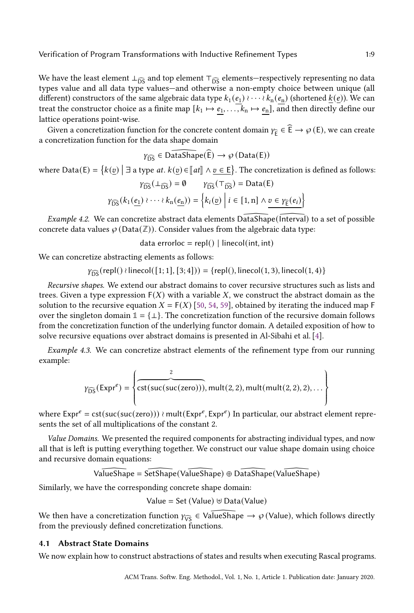We have the least element  $\perp_{\widehat{DS}}$  and top element  $\top_{\widehat{DS}}$  elements—respectively representing no data types value and all data type values—and otherwise a non-empty choice between unique (all different) constructors of the same algebraic data type  $k_1 (e_1) \cdots \partial k_n (e_n)$  (shortened  $\underline{k(e)}$ ). We can treat the constructor choice as a finite map  $[k_1 \mapsto e_1, \ldots, k_n \mapsto e_n]$ , and then directly define our lattice operations point-wise.

Given a concretization function for the concrete content domain  $\gamma_{\widehat{E}} \in \widehat{E} \to \wp(E)$ , we can create a concretization function for the data shape domain

$$
\gamma_{\widehat{\text{DS}}} \in \widehat{\text{DataShape}(\widehat{\text{E}})} \to \wp(\text{Data}(\text{E}))
$$

where  $\text{Data}(E) = \{k(\underline{v}) \mid \exists \text{ a type at. } k(\underline{v}) \in [\![at]\!] \land \underline{v} \in \underline{E}\}.$  The concretization is defined as follows:

$$
\gamma_{\widehat{\text{DS}}}(\bot_{\widehat{\text{DS}}}) = \emptyset \qquad \gamma_{\widehat{\text{DS}}}(\top_{\widehat{\text{DS}}}) = \text{Data}(\text{E})
$$

$$
\gamma_{\widehat{\text{DS}}}(k_1(\underline{e_1}) \wr \cdots \wr k_n(\underline{e_n})) = \left\{ k_i(\underline{v}) \mid i \in [1, n] \land \underline{v \in \gamma_{\widehat{\text{E}}}(e_i)} \right\}
$$

Example 4.2. We can concretize abstract data elements DataShape (Interval) to a set of possible concrete data values  $\wp$  (Data( $\mathbb{Z}$ )). Consider values from the algebraic data type:

data errorloc = repl $()$  | linecol(int, int)

We can concretize abstracting elements as follows:

 $\gamma_{\widehat{DS}}(\text{repI}() \wr \text{linecol}([1; 1], [3; 4])) = \{\text{repI}(), \text{linecol}(1, 3), \text{linecol}(1, 4)\}\$ 

Recursive shapes. We extend our abstract domains to cover recursive structures such as lists and trees. Given a type expression  $F(X)$  with a variable X, we construct the abstract domain as the solution to the recursive equation  $X = F(X)$  [\[50,](#page-25-5) [54,](#page-26-3) [59\]](#page-26-1), obtained by iterating the induced map F over the singleton domain  $\mathbb{1} = {\perp}$ . The concretization function of the recursive domain follows from the concretization function of the underlying functor domain. A detailed exposition of how to solve recursive equations over abstract domains is presented in Al-Sibahi et al. [\[4\]](#page-24-8).

Example 4.3. We can concretize abstract elements of the refinement type from our running example:

$$
\gamma_{\widehat{DS}}(\text{Expr}^e) = \left\{ \overbrace{\text{cst}(\text{suc}(\text{suc}(\text{zero}))), \text{mult}(2,2), \text{mult}(\text{mult}(2,2),2), \dots}^2 \right\}
$$

where  $\text{Expr}^e = \text{cst}(\text{suc}(\text{suc}(\text{zero})))$  ≀ mult( $\text{Expr}^e$ ,  $\text{Expr}^e$ ) In particular, our abstract element represents the set of all multiplications of the constant 2.

Value Domains. We presented the required components for abstracting individual types, and now all that is left is putting everything together. We construct our value shape domain using choice and recursive domain equations:

ValueShape <sup>=</sup> SetShape (ValueShape ) ⊕ DataShape (ValueShape )

Similarly, we have the corresponding concrete shape domain:

$$
Value = Set (Value) \uplus Data(Value)
$$

We then have a concretization function  $\gamma_{\overline{VS}} \in \sqrt{\text{valueShape}} \rightarrow \wp$  (Value), which follows directly from the previously defined concretization functions. from the previously defined concretization functions.

#### 4.1 Abstract State Domains

We now explain how to construct abstractions of states and results when executing Rascal programs.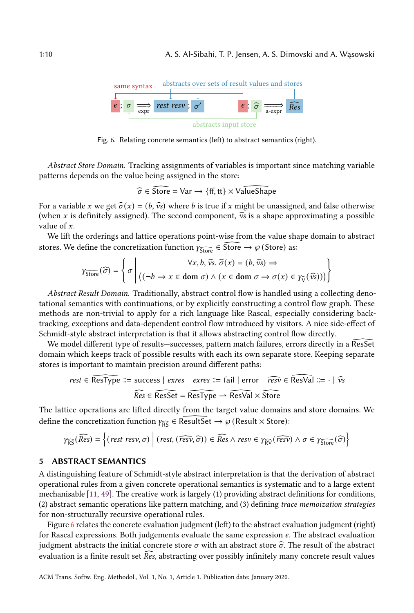<span id="page-9-1"></span>

Fig. 6. Relating concrete semantics (left) to abstract semantics (right).

Abstract Store Domain. Tracking assignments of variables is important since matching variable patterns depends on the value being assigned in the store:

$$
\widehat{\sigma} \in \widehat{\text{Store}} = \text{Var} \rightarrow \{\text{ff}, \text{tt}\} \times \text{ValueShape}
$$

For a variable x we get  $\hat{\sigma}(x) = (b, \hat{v}s)$  where b is true if x might be unassigned, and false otherwise (when x is definitely assigned). The second component,  $\hat{v}$  is a shape approximating a possible value of  $x$ .

We lift the orderings and lattice operations point-wise from the value shape domain to abstract stores. We define the concretization function  $\gamma_{\widehat{Store}} \in \widehat{Store} \to \wp$  (Store) as:

$$
\gamma_{\widehat{\text{Store}}}(\widehat{\sigma}) = \left\{ \sigma \mid ((\neg b \Rightarrow x \in \text{dom } \sigma) \land (x \in \text{dom } \sigma \Rightarrow \sigma(x) \in \gamma_{\widehat{V}}(\widehat{v_s}))) \right\}
$$

Abstract Result Domain. Traditionally, abstract control flow is handled using a collecting denotational semantics with continuations, or by explicitly constructing a control flow graph. These methods are non-trivial to apply for a rich language like Rascal, especially considering backtracking, exceptions and data-dependent control flow introduced by visitors. A nice side-effect of Schmidt-style abstract interpretation is that it allows abstracting control flow directly.

We model different type of results—successes, pattern match failures, errors directly in a ResSet domain which keeps track of possible results with each its own separate store. Keeping separate stores is important to maintain precision around different paths:

$$
rest \in \overline{\text{ResType}} ::= \text{success} \mid \text{exres} \quad \text{exres} \ ::= \text{fail} \mid \text{error} \quad \text{resp} \in \overline{\text{ResVal}} ::= \cdot \mid \widehat{v}s
$$
\n
$$
\text{Res} \in \overline{\text{ResSet}} = \overline{\text{ResType}} \rightarrow \overline{\text{ResVal}} \times \overline{\text{Store}}
$$

The lattice operations are lifted directly from the target value domains and store domains. We define the concretization function  $\gamma_{\widehat{RS}} \in \widehat{\text{ResultSet}} \to \wp$  (Result  $\times$  Store):

$$
\gamma_{\widehat{\text{RS}}}(\widehat{\text{Res}}) = \left\{(\text{rest resv}, \sigma) \mid (\text{rest}, (\widehat{\text{resv}}, \widehat{\sigma})) \in \widehat{\text{Res}} \land \text{resv} \in \gamma_{\widehat{\text{RV}}}(\widehat{\text{resv}}) \land \sigma \in \gamma_{\widehat{\text{Store}}}(\widehat{\sigma})\right\}
$$

#### <span id="page-9-0"></span>5 ABSTRACT SEMANTICS

A distinguishing feature of Schmidt-style abstract interpretation is that the derivation of abstract operational rules from a given concrete operational semantics is systematic and to a large extent mechanisable [\[11,](#page-24-9) [49\]](#page-25-2). The creative work is largely (1) providing abstract definitions for conditions, (2) abstract semantic operations like pattern matching, and (3) defining trace memoization strategies for non-structurally recursive operational rules.

Figure [6](#page-9-1) relates the concrete evaluation judgment (left) to the abstract evaluation judgment (right) for Rascal expressions. Both judgements evaluate the same expression  $e$ . The abstract evaluation judgment abstracts the initial concrete store  $\sigma$  with an abstract store  $\hat{\sigma}$ . The result of the abstract evaluation is a finite result set  $\overline{\text{Res}}$ , abstracting over possibly infinitely many concrete result values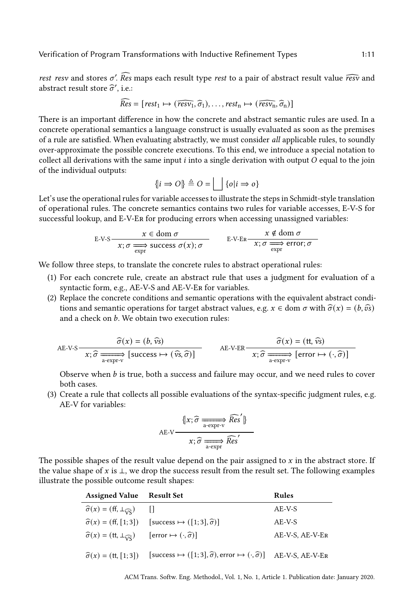rest resv and stores  $\sigma'$ . Res maps each result type rest to a pair of abstract result value  $\widehat{resv}$  and abstract result store  $\widehat{s}'$  i.e. abstract result store  $\widehat{\sigma}'$ , i.e.:

$$
\widehat{Res} = [rest_1 \mapsto (\widehat{resv_1}, \widehat{\sigma}_1), \dots, rest_n \mapsto (\widehat{resv_n}, \widehat{\sigma}_n)]
$$

There is an important difference in how the concrete and abstract semantic rules are used. In a concrete operational semantics a language construct is usually evaluated as soon as the premises of a rule are satisfied. When evaluating abstractly, we must consider all applicable rules, to soundly over-approximate the possible concrete executions. To this end, we introduce a special notation to collect all derivations with the same input  $i$  into a single derivation with output  $O$  equal to the join of the individual outputs:

$$
\{i \Rightarrow O\} \triangleq O = \bigsqcup \{o | i \Rightarrow o\}
$$

Let's use the operational rules for variable accesses to illustrate the steps in Schmidt-style translation of operational rules. The concrete semantics contains two rules for variable accesses, E-V-S for successful lookup, and E-V-Er for producing errors when accessing unassigned variables:

$$
\text{E-V-S} \xrightarrow{\text{$x \in \text{dom } \sigma$}} x \in \text{dom } \sigma
$$
\n
$$
\text{E-V-ER} \xrightarrow{\text{$x \notin \text{dom } \sigma$}} \text{error; } \sigma
$$

We follow three steps, to translate the concrete rules to abstract operational rules:

- (1) For each concrete rule, create an abstract rule that uses a judgment for evaluation of a syntactic form, e.g., AE-V-S and AE-V-Er for variables.
- (2) Replace the concrete conditions and semantic operations with the equivalent abstract conditions and semantic operations for target abstract values, e.g.  $x \in \text{dom } \sigma$  with  $\hat{\sigma}(x) = (b, \hat{\sigma}\hat{s})$ and a check on  $b$ . We obtain two execution rules:

$$
AE-V-S
$$
\n
$$
\widehat{\sigma}(x) = (b, \widehat{vs})
$$
\n
$$
x; \widehat{\sigma} \xrightarrow[\text{a-expr-v}]{\widehat{\sigma}(x) = (t, \widehat{vs})}
$$
\n
$$
AE-V-ER
$$
\n
$$
\widehat{\sigma}(x) = (t, \widehat{vs})
$$
\n
$$
x; \widehat{\sigma} \xrightarrow[\text{a-expr-v}]{\widehat{\sigma}(x) = (t, \widehat{vs})}
$$

Observe when  $b$  is true, both a success and failure may occur, and we need rules to cover both cases.

(3) Create a rule that collects all possible evaluations of the syntax-specific judgment rules, e.g. AE-V for variables:

$$
AE-V \xrightarrow{\{x;\,\widehat{\sigma} \xrightarrow[\text{a-expr-v]} \widehat{Res}'\}}
$$

$$
x;\,\widehat{\sigma} \xrightarrow[\text{a-expr}]{\widehat{Res}'}
$$

The possible shapes of the result value depend on the pair assigned to  $x$  in the abstract store. If the value shape of  $x$  is  $\perp$ , we drop the success result from the result set. The following examples illustrate the possible outcome result shapes:

| <b>Assigned Value</b> Result Set                                 |                                                                                                    | <b>Rules</b>    |
|------------------------------------------------------------------|----------------------------------------------------------------------------------------------------|-----------------|
| $\widehat{\sigma}(x) = (ff, \perp_{\widehat{\mathsf{V}}S})$      | $\Box$                                                                                             | AE-V-S          |
|                                                                  | $\hat{\sigma}(x) = (ff, [1; 3])$ [success $\mapsto ([1; 3], \hat{\sigma})$ ]                       | $AE-V-S$        |
| $\widehat{\sigma}(x) = (\text{tt}, \perp_{\widehat{\text{VS}}})$ | [error $\mapsto (\cdot, \widehat{\sigma})$ ]                                                       | AE-V-S. AE-V-ER |
| $\hat{\sigma}(x) = (tt, [1;3])$                                  | [success $\mapsto ([1;3], \hat{\sigma})$ , error $\mapsto (\cdot, \hat{\sigma})$ ] AE-V-S, AE-V-ER |                 |

ACM Trans. Softw. Eng. Methodol., Vol. 1, No. 1, Article 1. Publication date: January 2020.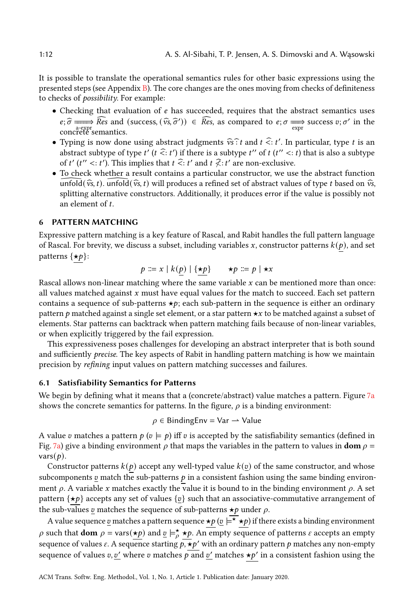It is possible to translate the operational semantics rules for other basic expressions using the presented steps (see Appendix [B\)](#page-28-0). The core changes are the ones moving from checks of definiteness to checks of possibility. For example:

- Checking that evaluation of  $e$  has succeeded, requires that the abstract semantics uses  $e; \hat{\sigma} \longrightarrow \widehat{Res}$  and (success,  $(\hat{v}s, \hat{\sigma}') \in \widehat{Res}$ , as compared to  $e; \sigma \longrightarrow \text{success } v; \sigma'$  in the concrete semantics.
- Typing is now done using abstract judgments  $\hat{v}$  and  $t \hat{f}$ :  $t'$ . In particular, type  $t$  is an obtained without  $f'(t, \hat{f}, t')$ . In particular, type  $t$  is an abstract subtype of type  $t'$  ( $t \leq t'$ ) if there is a subtype  $t''$  of  $t$  ( $t'' < t$ ) that is also a subtype of t'  $(t'' \le t')$ . This implies that  $t \le t'$  and  $t \not\le t'$  are non-exclusive.
- To check whether a result contains a particular constructor, we use the abstract function  $\widehat{\text{unfold}}(\hat{v}, t)$ .  $\widehat{\text{unfold}}(\hat{v}, t)$  will produces a refined set of abstract values of type *t* based on  $\hat{v},$ splitting alternative constructors. Additionally, it produces error if the value is possibly not an element of t.

## <span id="page-11-0"></span>6 PATTERN MATCHING

Expressive pattern matching is a key feature of Rascal, and Rabit handles the full pattern language of Rascal. For brevity, we discuss a subset, including variables x, constructor patterns  $k(p)$ , and set patterns  $\{\star p\}$ :

$$
p ::= x \mid k(p) \mid \{\star p\} \qquad \star p ::= p \mid \star x
$$

Rascal allows non-linear matching where the same variable  $x$  can be mentioned more than once: all values matched against  $x$  must have equal values for the match to succeed. Each set pattern contains a sequence of sub-patterns  $\star p$ ; each sub-pattern in the sequence is either an ordinary pattern  $p$  matched against a single set element, or a star pattern  $\star x$  to be matched against a subset of elements. Star patterns can backtrack when pattern matching fails because of non-linear variables, or when explicitly triggered by the fail expression.

This expressiveness poses challenges for developing an abstract interpreter that is both sound and sufficiently precise. The key aspects of Rabit in handling pattern matching is how we maintain precision by refining input values on pattern matching successes and failures.

### 6.1 Satisfiability Semantics for Patterns

We begin by defining what it means that a (concrete/abstract) value matches a pattern. Figure  $7a$ shows the concrete semantics for patterns. In the figure,  $\rho$  is a binding environment:

$$
\rho \in \mathsf{BindingEnv} = \mathsf{Var} \rightarrow \mathsf{Value}
$$

A value v matches a pattern  $p ( v \models p)$  iff v is accepted by the satisfiability semantics (defined in Fig. [7a\)](#page-12-0) give a binding environment  $\rho$  that maps the variables in the pattern to values in **dom**  $\rho$  = vars $(p)$ .

Constructor patterns  $k(p)$  accept any well-typed value  $k(v)$  of the same constructor, and whose subcomponents  $\varrho$  match the sub-patterns  $\varrho$  in a consistent fashion using the same binding environment  $\rho$ . A variable x matches exactly the value it is bound to in the binding environment  $\rho$ . A set pattern { $\star p$ } accepts any set of values { $\alpha$ } such that an associative-commutative arrangement of the sub-values  $v$  matches the sequence of sub-patterns  $\star p$  under  $\rho$ .

A value sequence <u>v</u> matches a pattern sequence  $\star p$  ( $\upsilon \models^{\star} \star p$ ) if there exists a binding environment  $\rho$  such that **dom**  $\rho = \text{vars}(\star p)$  and  $\underline{v} \models_{\rho}^{\star} \star p$ . An empty sequence of patterns  $\varepsilon$  accepts an empty sequence of values  $\varepsilon$ . A sequence starting  $\overline{b}$ ,  $\overline{\star}b'$  with an ordinary pattern  $b$  matches any non-empty sequence of values v. v' where v matches  $\overline{v}$  and v' matches  $\star v'$  in a consistent fashion using the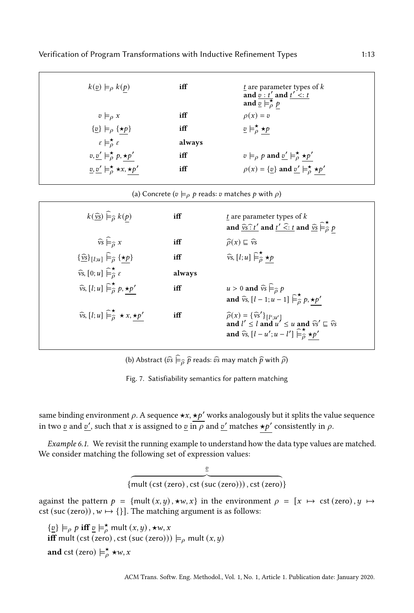<span id="page-12-0"></span>

| $k(\underline{v}) \models_{\rho} k(p)$                                   | iff    | t are parameter types of k<br>and $\vec{v}$ : t' and $\vec{t}'$ <: t<br>and $\overline{\underline{v}} \models_{\rho}^{\star} p$ |
|--------------------------------------------------------------------------|--------|---------------------------------------------------------------------------------------------------------------------------------|
| $v \models_{\Omega} x$                                                   | iff    | $\rho(x) = v$                                                                                                                   |
| $\{\underline{v}\}\models_{\rho} \{\star p\}$                            | iff    | $\underline{v} \models_{\rho}^{\star} \star p$                                                                                  |
| $\varepsilon \models_{o}^{\star} \varepsilon$                            | always |                                                                                                                                 |
| $v, v' \models_{\rho}^{\star} p, \star p'$                               | iff    | $v \models_{\rho} p$ and $\underline{v}' \models_{\rho}^{\star} \star p'$                                                       |
| $\underline{v}, \underline{v}' \models_{\rho}^{\star} \star x, \star p'$ | iff    | $\rho(x) = {\underline{v}}$ and ${\underline{v}}' \models_{\rho}^{\star} {\star}p'$                                             |

(a) Concrete ( $v \models \rho p$  reads:  $v$  matches  $p$  with  $\rho$ )

| $k(\underline{\hat{v}}\underline{s})\widehat{\vDash}_{\widehat{\rho}}k(p)$                  | iff    | $t$ are parameter types of $k$<br>and $\widehat{v}_s : t'$ and $t' \leq t$ and $\widehat{v}_s \in \stackrel{\star}{\beta} p$                                                                                                                                 |
|---------------------------------------------------------------------------------------------|--------|--------------------------------------------------------------------------------------------------------------------------------------------------------------------------------------------------------------------------------------------------------------|
| $\widehat{\nu s} \models_{\widehat{\Omega}} x$                                              | iff    | $\widehat{\rho}(x) \sqsubseteq \widehat{\nu} s$                                                                                                                                                                                                              |
| $\{\widehat{\underline{v}}\}_{[l;u]}\widehat{\vDash}_{\widehat{\rho}}\{\star p\}$           | iff    | $\widehat{v}$ s, [ <i>l</i> ; <i>u</i> ] $\widehat{\models}_{\widehat{\theta}}^{\star} \star p$                                                                                                                                                              |
| $\widehat{v}$ s, $[0; u] \widehat{\models}_{\widehat{\sigma}}^{\star} \widehat{\epsilon}$   | always |                                                                                                                                                                                                                                                              |
| $\widehat{v}$ s, [l; u] $\widehat{\vdash}^{\star}_{\widehat{\rho}} p, \star p'$             | iff    | $u > 0$ and $\widehat{vs} \models_{\widehat{\rho}} p$<br>and $\widehat{v}_s$ , $[l-1; u-1]$ $\widehat{\vdash}^{\star}_{\widehat{\theta}} p, \star p'$                                                                                                        |
| $\widehat{v}$ s, [l; u] $\widehat{\models}_{\widehat{\theta}}^{\star} \star x$ , $\star p'$ | iff    | $\widehat{\rho}(x) = {\widehat{v}_s}' \bigg\{ [l';u'] \text{ and } l' \le l \text{ and } u' \le u \text{ and } \widehat{v}_s' \sqsubseteq \widehat{v}_s$<br>and $\widehat{v}_s$ , $[l - u'; u - l']$ $\widehat{\models}_{\widehat{\theta}}^{\star} \star p'$ |

(b) Abstract  $(\widehat{v}\widehat{s} \models_{\widehat{\rho}} \widehat{p}$  reads:  $\widehat{v}\widehat{s}$  may match  $\widehat{p}$  with  $\widehat{\rho}$ )

Fig. 7. Satisfiability semantics for pattern matching

same binding environment  $\rho$ . A sequence  $\star x$ ,  $\star v'$  works analogously but it splits the value sequence in two v and v', such that x is assigned to v in  $\overline{\rho}$  and v' matches  $\star \nu'$  consistently in  $\rho$ .

Example 6.1. We revisit the running example to understand how the data type values are matched. We consider matching the following set of expression values:

> {  $\overline{c}$  ${mult}$  (cst (zero), cst (suc (zero))), cst (zero)}

against the pattern  $p = \{mult(x, y), \star w, x\}$  in the environment  $p = [x \mapsto \text{cst (zero)}, y \mapsto$ cst (suc (zero)),  $w \mapsto \{\}$ . The matching argument is as follows:

 $\{\underline{v}\}\models_{\rho} p \text{ iff } \underline{v}\models_{\rho}^{\star} \text{mult}(x, y), \star w, x$ **iff** mult (cst (zero), cst (suc (zero)))  $\models_{\rho}$  mult  $(x, y)$ and cst (zero)  $\models_{\rho}^{\star} \star w$ , x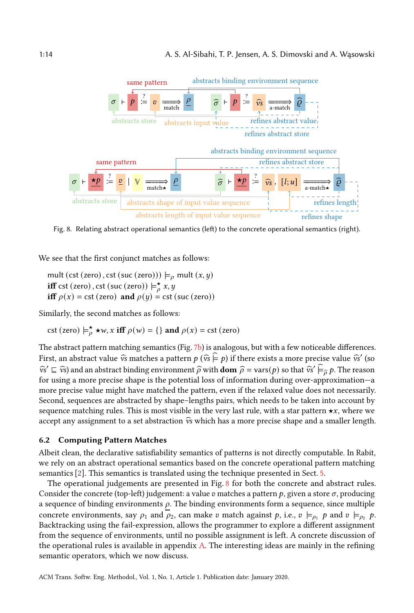<span id="page-13-0"></span>

Fig. 8. Relating abstract operational semantics (left) to the concrete operational semantics (right).

We see that the first conjunct matches as follows:

mult (cst (zero), cst (suc (zero)))  $\models_{\rho}$  mult  $(x, y)$ **iff** cst (zero), cst (suc (zero))  $\models_{o}^{*} x, y$ iff  $\rho(x) = \text{cst}$  (zero) and  $\rho(y) = \text{cst}$  (suc (zero))

Similarly, the second matches as follows:

cst (zero)  $\models_{\rho}^{\star} \star w$ , x iff  $\rho(w) = \{\}$  and  $\rho(x) = \text{cst}$  (zero)

The abstract pattern matching semantics (Fig. [7b\)](#page-12-0) is analogous, but with a few noticeable differences. First, an abstract value  $\widehat{v}$ s matches a pattern  $p(\widehat{v} s \models p)$  if there exists a more precise value  $\widehat{v}$ s' (so  $\widehat{v}_s' \subseteq \widehat{v}_s$  and an abstract binding environment  $\widehat{\rho}$  with **dom**  $\widehat{\rho} = \text{vars}(p)$  so that  $\widehat{v}_s' \models_{\widehat{\rho}} p$ . The reason for using a more precise shape is the potential loss of information during over-approximation—a more precise value might have matched the pattern, even if the relaxed value does not necessarily. Second, sequences are abstracted by shape–lengths pairs, which needs to be taken into account by sequence matching rules. This is most visible in the very last rule, with a star pattern  $\star x$ , where we accept any assignment to a set abstraction  $\widehat{v}$ s which has a more precise shape and a smaller length.

#### 6.2 Computing Pattern Matches

Albeit clean, the declarative satisfiability semantics of patterns is not directly computable. In Rabit, we rely on an abstract operational semantics based on the concrete operational pattern matching semantics [\[2\]](#page-24-4). This semantics is translated using the technique presented in Sect. [5.](#page-9-0)

The operational judgements are presented in Fig. [8](#page-13-0) for both the concrete and abstract rules. Consider the concrete (top-left) judgement: a value  $v$  matches a pattern  $p$ , given a store  $\sigma$ , producing a sequence of binding environments  $\rho$ . The binding environments form a sequence, since multiple concrete environments, say  $\rho_1$  and  $\rho_2$ , can make  $v$  match against  $p$ , i.e.,  $v \models_{\rho_1} p$  and  $v \models_{\rho_2} p$ . Backtracking using the fail-expression, allows the programmer to explore a different assignment from the sequence of environments, until no possible assignment is left. A concrete discussion of the operational rules is available in appendix [A.](#page-26-4) The interesting ideas are mainly in the refining semantic operators, which we now discuss.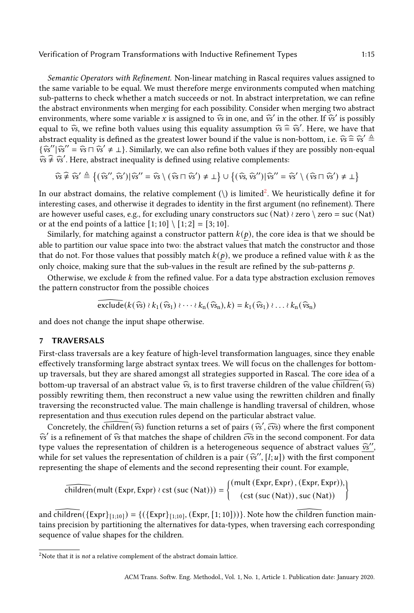Semantic Operators with Refinement. Non-linear matching in Rascal requires values assigned to the same variable to be equal. We must therefore merge environments computed when matching sub-patterns to check whether a match succeeds or not. In abstract interpretation, we can refine the abstract environments when merging for each possibility. Consider when merging two abstract environments, where some variable x is assigned to  $\hat{v}$ s in one, and  $\hat{v}$ s' in the other. If  $\hat{v}$ s' is possibly equal to  $\hat{v}_s$ , we refine both values using this equality assumption  $\hat{v}_s \in \hat{v}_s'$ . Here, we have that abstract equality is defined as the greatest leurar hound if the value is non-bettom i.e.  $\hat{w}_s \in \hat{w}' \triangleq$ abstract equality is defined as the greatest lower bound if the value is non-bottom, i.e.  $\hat{v}_s \hat{z} \neq \hat{v}_s' \hat{z}$  $\{\hat{v}_s''|\hat{v}_s'' = \hat{v}_s \cap \hat{v}_s' \neq \bot\}$ . Similarly, we can also refine both values if they are possibly non-equal  $\hat{v}_s \neq \hat{v}_s'$ . Here obstraat inequality is defined verse relative complements:  $\hat{v}_s \neq \hat{v}_s'$ . Here, abstract inequality is defined using relative complements:

$$
\widehat{v}_s \widehat{\neq} \widehat{v}_s' \triangleq \left\{ (\widehat{v}_s'', \widehat{v}_s') | \widehat{v}_s'' = \widehat{v}_s \setminus (\widehat{v}_s \sqcap \widehat{v}_s') \neq \bot \right\} \cup \left\{ (\widehat{v}_s, \widehat{v}_s'') | \widehat{v}_s'' = \widehat{v}_s' \setminus (\widehat{v}_s \sqcap \widehat{v}_s') \neq \bot \right\}
$$

In our abstract domains, the relative complement  $(\cdot)$  is limited<sup>[2](#page-14-0)</sup>. We heuristically define it for interesting cases, and otherwise it degrades to identity in the first argument (no refinement). There are however useful cases, e.g., for excluding unary constructors suc (Nat) ≀ zero \ zero = suc (Nat) or at the end points of a lattice  $[1; 10] \setminus [1; 2] = [3; 10]$ .

Similarly, for matching against a constructor pattern  $k(p)$ , the core idea is that we should be able to partition our value space into two: the abstract values that match the constructor and those that do not. For those values that possibly match  $k(p)$ , we produce a refined value with k as the only choice, making sure that the sub-values in the result are refined by the sub-patterns  $p$ .

Otherwise, we exclude  $k$  from the refined value. For a data type abstraction exclusion removes the pattern constructor from the possible choices

$$
\widetilde{\mathrm{exclude}}(k(\widehat{v}\mathrm{s})\wr k_1(\widehat{v}\mathrm{s}_1)\wr\cdots\wr k_n(\widehat{v}\mathrm{s}_n),k)=k_1(\widehat{v}\mathrm{s}_1)\wr\ldots\wr k_n(\widehat{v}\mathrm{s}_n)
$$

and does not change the input shape otherwise.

#### 7 TRAVERSALS

First-class traversals are a key feature of high-level transformation languages, since they enable effectively transforming large abstract syntax trees. We will focus on the challenges for bottomup traversals, but they are shared amongst all strategies supported in Rascal. The core idea of a bottom-up traversal of an abstract value  $\hat{v}_s$ , is to first traverse children of the value children  $(\hat{v}_s)$ possibly rewriting them, then reconstruct a new value using the rewritten children and finally traversing the reconstructed value. The main challenge is handling traversal of children, whose representation and thus execution rules depend on the particular abstract value.

Concretely, the children  $(\widehat{v}_s)$  function returns a set of pairs  $(\widehat{v}_s', \widehat{cv}_s)$  where the first component  $\widehat{c}_s$  is a refinement of  $\widehat{w}_s$  that matches the shape of children  $\widehat{w}_s$  in the second component.  $\widehat{v}_s$ ' is a refinement of  $\widehat{v}_s$  that matches the shape of children  $\widehat{c}v_s$  in the second component. For data type values the representation of children is a heterogeneous sequence of abstract values  $\hat{\mathbf{w}}''$ , while for set values the representation of abildren is a pair  $(\hat{\mathbf{w}}'$ ,  $[l, u]$  with the first semponent while for set values the representation of children is a pair  $(\hat{v}^{s''}, [i; u])$  with the first component representing the shape of elements and the second representing their severals. representing the shape of elements and the second representing their count. For example,

$$
\widehat{children}(\text{mult (Expr, Expr)} \wr \text{cst}(\text{suc}(\text{Nat}))) = \left\{ \begin{matrix} (\text{mult (Expr, Expr}), (\text{Expr}, \text{Expr})), \\ (\text{cst}(\text{suc}(\text{Nat})), \text{suc}(\text{Nat})) \end{matrix} \right\}
$$

and  $\widehat{\text{children}}(\{\text{Expr}\}_{[1;10]}) = \{ (\{\text{Expr}\}_{[1;10]}, (\text{Expr}, [1;10])) \}$ . Note how the  $\widehat{\text{children}}$  function maintains precision by partitioning the alternatives for data-types, when traversing each corresponding sequence of value shapes for the children.

<span id="page-14-0"></span> $2$ Note that it is *not* a relative complement of the abstract domain lattice.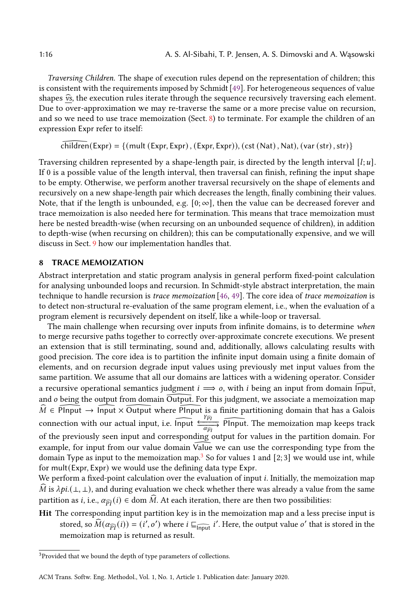Traversing Children. The shape of execution rules depend on the representation of children; this is consistent with the requirements imposed by Schmidt [\[49\]](#page-25-2). For heterogeneous sequences of value shapes  $\widehat{\mathbf{v}}$ s, the execution rules iterate through the sequence recursively traversing each element. Due to over-approximation we may re-traverse the same or a more precise value on recursion, and so we need to use trace memoization (Sect. [8\)](#page-15-0) to terminate. For example the children of an expression Expr refer to itself:

 $children(Expr) = \{(mult(Expr, Expr), (Expr, Expr)), (cst(Nat), Nat), (var(str), str)\}$ 

Traversing children represented by a shape-length pair, is directed by the length interval  $[i, u]$ . If 0 is a possible value of the length interval, then traversal can finish, refining the input shape to be empty. Otherwise, we perform another traversal recursively on the shape of elements and recursively on a new shape-length pair which decreases the length, finally combining their values. Note, that if the length is unbounded, e.g.  $[0; \infty]$ , then the value can be decreased forever and trace memoization is also needed here for termination. This means that trace memoization must here be nested breadth-wise (when recursing on an unbounded sequence of children), in addition to depth-wise (when recursing on children); this can be computationally expensive, and we will discuss in Sect. [9](#page-16-0) how our implementation handles that.

## <span id="page-15-0"></span>8 TRACE MEMOIZATION

Abstract interpretation and static program analysis in general perform fixed-point calculation for analysing unbounded loops and recursion. In Schmidt-style abstract interpretation, the main technique to handle recursion is trace memoization [\[46,](#page-25-3) [49\]](#page-25-2). The core idea of trace memoization is to detect non-structural re-evaluation of the same program element, i.e., when the evaluation of a program element is recursively dependent on itself, like a while-loop or traversal.

The main challenge when recursing over inputs from infinite domains, is to determine when to merge recursive paths together to correctly over-approximate concrete executions. We present an extension that is still terminating, sound and, additionally, allows calculating results with good precision. The core idea is to partition the infinite input domain using a finite domain of elements, and on recursion degrade input values using previously met input values from the same partition. We assume that all our domains are lattices with a widening operator. Consider a recursive operational semantics judgment  $i \implies o$ , with i being an input from domain Input, and  $o$  being the output from domain  $\overline{O}$ utput. For this judgment, we associate a memoization map  $\hat{M} \in \text{PInput} \rightarrow \text{Input} \times \text{Output}$  where PInput is a finite partitioning domain that has a Galois connection with our actual input, i.e.  $\widehat{\ln p}$   $\frac{\binom{p_1}{\alpha_{\widehat{p_1}}}$  $\frac{v_{\widehat{PI}}}{\alpha_{\widehat{PI}}}$  PInput. The memoization map keeps track of the previously seen input and corresponding output for values in the partition domain. For example, for input from our value domain Value we can use the corresponding type from the domain Type as input to the memoization map.<sup>3</sup> So for values 1 and  $[2,3]$  we would use int, while for mult(Expr, Expr) we would use the defining data type Expr.

We perform a fixed-point calculation over the evaluation of input *i*. Initially, the memoization map  $\dot{M}$  is  $\lambda pi.(\perp,\perp)$ , and during evaluation we check whether there was already a value from the same partition as *i*, i.e.,  $\alpha_{\widehat{p_1}}(i) \in \text{dom }\widehat{M}$ . At each iteration, there are then two possibilities:

Hit The corresponding input partition key is in the memoization map and a less precise input is stored, so  $\widehat{M}(\alpha_{\widehat{PI}}(i)) = (i', o')$  where  $i \sqsubseteq_{\widehat{\text{Input}}} i'$ . Here, the output value  $o'$  that is stored in the memoization map is returned as result.

<span id="page-15-1"></span><sup>&</sup>lt;sup>3</sup>Provided that we bound the depth of type parameters of collections.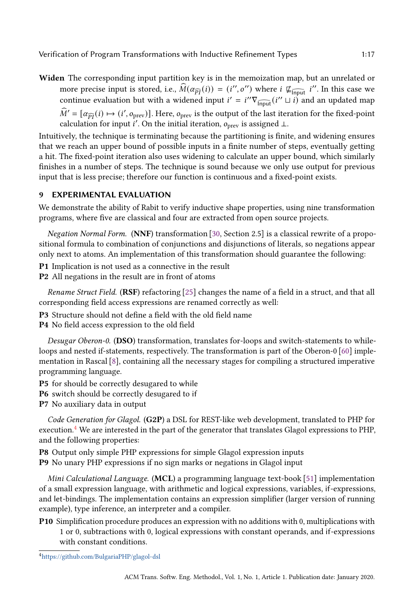Widen The corresponding input partition key is in the memoization map, but an unrelated or more precise input is stored, i.e.,  $\widehat{M}(\alpha_{\widehat{PI}}(i)) = (i'', o'')$  where  $i \not\equiv_{\widehat{IPput}} i''$ . In this case we continue evaluation but with a widened input  $i' = i'' \nabla_{\widehat{\text{Input}}}(i'' \sqcup i)$  and an updated map  $\widehat{M}' = [\alpha_{\widehat{PI}}(i) \mapsto (i', o_{\text{prev}})]$ . Here,  $o_{\text{prev}}$  is the output of the last iteration for the fixed-point calculation for input i'. On the initial iteration,  $\rho_{\text{prev}}$  is assigned  $\perp$ .

Intuitively, the technique is terminating because the partitioning is finite, and widening ensures that we reach an upper bound of possible inputs in a finite number of steps, eventually getting a hit. The fixed-point iteration also uses widening to calculate an upper bound, which similarly finishes in a number of steps. The technique is sound because we only use output for previous input that is less precise; therefore our function is continuous and a fixed-point exists.

#### <span id="page-16-0"></span>9 EXPERIMENTAL EVALUATION

We demonstrate the ability of Rabit to verify inductive shape properties, using nine transformation programs, where five are classical and four are extracted from open source projects.

Negation Normal Form. (NNF) transformation [\[30,](#page-25-8) Section 2.5] is a classical rewrite of a propositional formula to combination of conjunctions and disjunctions of literals, so negations appear only next to atoms. An implementation of this transformation should guarantee the following:

P1 Implication is not used as a connective in the result

P2 All negations in the result are in front of atoms

Rename Struct Field. (RSF) refactoring [\[25\]](#page-24-10) changes the name of a field in a struct, and that all corresponding field access expressions are renamed correctly as well:

- P3 Structure should not define a field with the old field name
- P4 No field access expression to the old field

Desugar Oberon-0. (DSO) transformation, translates for-loops and switch-statements to whileloops and nested if-statements, respectively. The transformation is part of the Oberon-0 [\[60\]](#page-26-5) implementation in Rascal [\[8\]](#page-24-11), containing all the necessary stages for compiling a structured imperative programming language.

- P5 for should be correctly desugared to while
- P6 switch should be correctly desugared to if

P7 No auxiliary data in output

Code Generation for Glagol. (G2P) a DSL for REST-like web development, translated to PHP for execution.[4](#page-16-1) We are interested in the part of the generator that translates Glagol expressions to PHP, and the following properties:

P8 Output only simple PHP expressions for simple Glagol expression inputs P9 No unary PHP expressions if no sign marks or negations in Glagol input

Mini Calculational Language. (MCL) a programming language text-book [\[51\]](#page-25-9) implementation of a small expression language, with arithmetic and logical expressions, variables, if-expressions, and let-bindings. The implementation contains an expression simplifier (larger version of running example), type inference, an interpreter and a compiler.

P10 Simplification procedure produces an expression with no additions with 0, multiplications with 1 or 0, subtractions with 0, logical expressions with constant operands, and if-expressions with constant conditions.

<span id="page-16-1"></span><sup>4</sup><https://github.com/BulgariaPHP/glagol-dsl>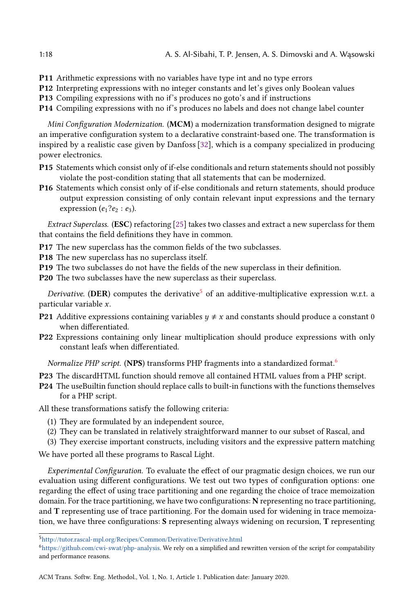- P11 Arithmetic expressions with no variables have type int and no type errors
- P12 Interpreting expressions with no integer constants and let's gives only Boolean values
- P13 Compiling expressions with no if's produces no goto's and if instructions
- P14 Compiling expressions with no if's produces no labels and does not change label counter

Mini Configuration Modernization. (MCM) a modernization transformation designed to migrate an imperative configuration system to a declarative constraint-based one. The transformation is inspired by a realistic case given by Danfoss [\[32\]](#page-25-10), which is a company specialized in producing power electronics.

- P15 Statements which consist only of if-else conditionals and return statements should not possibly violate the post-condition stating that all statements that can be modernized.
- P16 Statements which consist only of if-else conditionals and return statements, should produce output expression consisting of only contain relevant input expressions and the ternary expression  $(e_1?e_2 : e_3)$ .

Extract Superclass. (ESC) refactoring [\[25\]](#page-24-10) takes two classes and extract a new superclass for them that contains the field definitions they have in common.

- P17 The new superclass has the common fields of the two subclasses.
- P18 The new superclass has no superclass itself.
- P19 The two subclasses do not have the fields of the new superclass in their definition.
- P20 The two subclasses have the new superclass as their superclass.

Derivative. (DER) computes the derivative<sup>[5](#page-17-0)</sup> of an additive-multiplicative expression w.r.t. a particular variable  $x$ .

- **P21** Additive expressions containing variables  $y \neq x$  and constants should produce a constant 0 when differentiated.
- P22 Expressions containing only linear multiplication should produce expressions with only constant leafs when differentiated.

Normalize PHP script. (NPS) transforms PHP fragments into a standardized format.<sup>[6](#page-17-1)</sup>

- P23 The discardHTML function should remove all contained HTML values from a PHP script.
- P24 The useBuiltin function should replace calls to built-in functions with the functions themselves for a PHP script.

All these transformations satisfy the following criteria:

- (1) They are formulated by an independent source,
- (2) They can be translated in relatively straightforward manner to our subset of Rascal, and

(3) They exercise important constructs, including visitors and the expressive pattern matching

We have ported all these programs to Rascal Light.

Experimental Configuration. To evaluate the effect of our pragmatic design choices, we run our evaluation using different configurations. We test out two types of configuration options: one regarding the effect of using trace partitioning and one regarding the choice of trace memoization domain. For the trace partitioning, we have two configurations: N representing no trace partitioning, and T representing use of trace partitioning. For the domain used for widening in trace memoization, we have three configurations: S representing always widening on recursion, T representing

<span id="page-17-0"></span><sup>5</sup><http://tutor.rascal-mpl.org/Recipes/Common/Derivative/Derivative.html>

<span id="page-17-1"></span><sup>6</sup>[https://github.com/cwi-swat/php-analysis.](https://github.com/cwi-swat/php-analysis) We rely on a simplified and rewritten version of the script for compatability and performance reasons.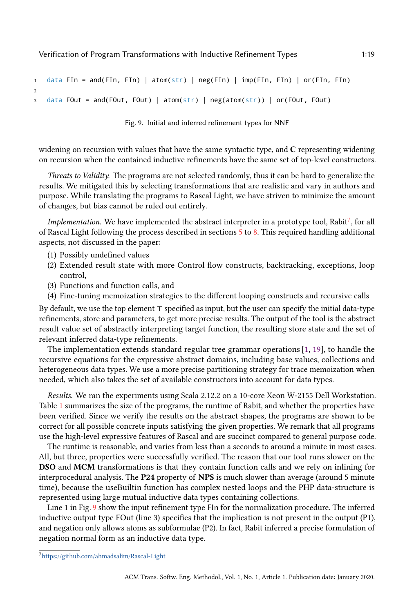```
1 data FIn = and(FIn, FIn) | atom(str) | neg(FIn) | imp(FIn, FIn) | or(FIn, FIn)
2
3 data FOut = and(FOut, FOut) | atom(str) | neg(atom(str)) | or(FOut, FOut)
```
Fig. 9. Initial and inferred refinement types for NNF

widening on recursion with values that have the same syntactic type, and C representing widening on recursion when the contained inductive refinements have the same set of top-level constructors.

Threats to Validity. The programs are not selected randomly, thus it can be hard to generalize the results. We mitigated this by selecting transformations that are realistic and vary in authors and purpose. While translating the programs to Rascal Light, we have striven to minimize the amount of changes, but bias cannot be ruled out entirely.

Implementation. We have implemented the abstract interpreter in a prototype tool, Rabit<sup>[7](#page-18-0)</sup>, for all of Rascal Light following the process described in sections [5](#page-9-0) to [8.](#page-15-0) This required handling additional aspects, not discussed in the paper:

- (1) Possibly undefined values
- (2) Extended result state with more Control flow constructs, backtracking, exceptions, loop control,
- (3) Functions and function calls, and
- (4) Fine-tuning memoization strategies to the different looping constructs and recursive calls

By default, we use the top element ⊤ specified as input, but the user can specify the initial data-type refinements, store and parameters, to get more precise results. The output of the tool is the abstract result value set of abstractly interpreting target function, the resulting store state and the set of relevant inferred data-type refinements.

The implementation extends standard regular tree grammar operations [\[1,](#page-24-12) [19\]](#page-24-3), to handle the recursive equations for the expressive abstract domains, including base values, collections and heterogeneous data types. We use a more precise partitioning strategy for trace memoization when needed, which also takes the set of available constructors into account for data types.

Results. We ran the experiments using Scala 2.12.2 on a 10-core Xeon W-2155 Dell Workstation. Table [1](#page-19-0) summarizes the size of the programs, the runtime of Rabit, and whether the properties have been verified. Since we verify the results on the abstract shapes, the programs are shown to be correct for all possible concrete inputs satisfying the given properties. We remark that all programs use the high-level expressive features of Rascal and are succinct compared to general purpose code.

The runtime is reasonable, and varies from less than a seconds to around a minute in most cases. All, but three, properties were successfully verified. The reason that our tool runs slower on the DSO and MCM transformations is that they contain function calls and we rely on inlining for interprocedural analysis. The P24 property of NPS is much slower than average (around 5 minute time), because the useBuiltin function has complex nested loops and the PHP data-structure is represented using large mutual inductive data types containing collections.

Line 1 in Fig. [9](#page-18-1) show the input refinement type FIn for the normalization procedure. The inferred inductive output type FOut (line 3) specifies that the implication is not present in the output (P1), and negation only allows atoms as subformulae (P2). In fact, Rabit inferred a precise formulation of negation normal form as an inductive data type.

<span id="page-18-0"></span><sup>7</sup><https://github.com/ahmadsalim/Rascal-Light>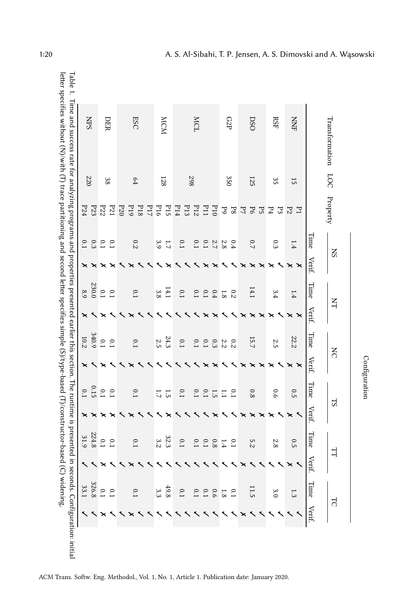<span id="page-19-0"></span>

|                |      |               | SN                 |                               |                | $\overline{A}$ | $\overline{S}$  |                                     | $_{\rm LS}$     |                | Н                | ⊣      |
|----------------|------|---------------|--------------------|-------------------------------|----------------|----------------|-----------------|-------------------------------------|-----------------|----------------|------------------|--------|
| Transformation | 500  | Property      |                    |                               |                |                |                 |                                     |                 |                |                  |        |
|                |      |               | Time               | Verif.                        | Time           | Verif.         | $\rm Time$      | Verif.                              | Time            | Verif.         | Time             | Verif. |
| <b>NNF</b>     | 15   | P2<br>$E_{1}$ | 1.4                | $\pmb{\times}$<br>×           | 1.4            | ×<br>×         | 22.2            | $\pmb{\times}$<br>$\mathord{\Join}$ | 0.5             | $\pmb{\times}$ | 0.5              |        |
| <b>RSF</b>     | 35   | $E_{3}$<br>P4 | 0.3                | $\overline{\phantom{0}}$<br>× | 3.4            | ×              | 2.5             | ×                                   | 6.6             | ×              | 2.8              |        |
|                |      | P5            |                    | ×                             |                | ×              |                 | ×                                   |                 | ×              |                  |        |
| <b>DSO</b>     | 125  | P6<br>F       | 0.7                |                               | 14.1           |                | 15.7            | ×                                   | 0.8             |                | 5.2              |        |
|                |      | 8d            | 0.4                |                               | 0.2            |                | 0.2             |                                     | $\overline{10}$ |                | 0.1              |        |
| G2P            | 350  | $_{\rm 50}$   | $2.8\,$            |                               | 8.1            |                | Z.2             |                                     | $\overline{11}$ |                | 1.4              |        |
|                |      | P10           | 2.7                |                               | $0.4\,$        |                | $0.3\,$         |                                     | 1.5             |                | $0.8\,$          |        |
|                |      | P11           | $\overline{C}$     | $\mathbf{\mathsf{x}}$         | $\overline{C}$ |                | $\overline{C}$  |                                     | $\overline{10}$ |                | 0.1              |        |
| <b>MCL</b>     | 867  | P12           | 0.1                |                               | $C_{1}$        |                | $\overline{C}$  |                                     | $\overline{C}$  |                | 0.1              |        |
|                |      | P14<br>P13    | 0.1                |                               | $\overline{C}$ |                | $\overline{C}$  |                                     | $\overline{C}$  |                | 0.1              |        |
| <b>MCM</b>     | 128  | P15<br>P16    | 3.9<br>$L \cdot L$ |                               | 14.1<br>3.8    |                | 24.3<br>2.5     |                                     | 1.7<br><u>ت</u> |                | 32.3<br>3.2      |        |
|                |      | P17           |                    |                               |                |                |                 |                                     |                 |                |                  |        |
| <b>ESC</b>     | $64$ | P19<br>P18    | 0.2                |                               | $\overline{C}$ |                | $\overline{C}$  |                                     | 0.1             |                | 0.1              |        |
|                |      | P20           |                    |                               |                |                |                 |                                     |                 |                |                  |        |
| DER            | 38   | P21           | $\overline{10}$    |                               | $\overline{C}$ |                | $\overline{10}$ |                                     | $\overline{10}$ |                | $\overline{0.1}$ |        |
|                |      | P22           | $\overline{C}$     |                               | $\tilde{C}$    |                | $\overline{C}$  |                                     | $\overline{C}$  |                | $\tilde{C}$      |        |
|                |      | P23           | 6.3                |                               | 230.0          |                | 340.9           |                                     | 0.15            |                | 224.8            |        |
| <b>SHN</b>     | 220  | P24           | $0.1\,$            |                               | 8.9            |                | 10.2            |                                     | 0.1             |                | 31.9             |        |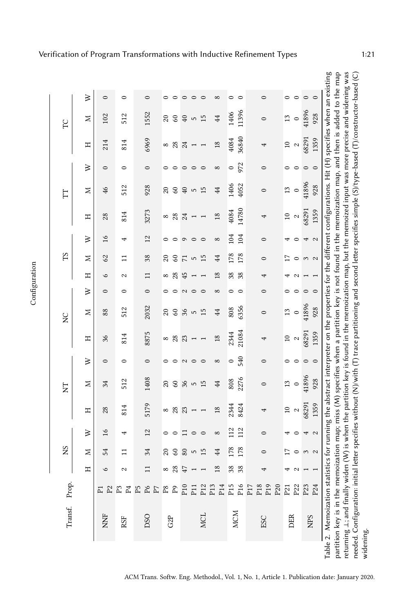<span id="page-20-0"></span>

| SN       |                |          |                    |                 |            |              |                          |            |                    |                |               |                    |                                            |                            |                    |                                            | C       |                    |
|----------|----------------|----------|--------------------|-----------------|------------|--------------|--------------------------|------------|--------------------|----------------|---------------|--------------------|--------------------------------------------|----------------------------|--------------------|--------------------------------------------|---------|--------------------|
| Η        |                | Z        | $\geqslant$        | Η               | z          | $\geq$       | Η                        | z          | $\geqslant$        | Η              | Σ             | $\geqslant$        | Ξ                                          | z                          | $\geqslant$        | Ξ                                          | z       |                    |
| ७        |                | 54       | $\frac{8}{1}$      | 28              | 34         | $\circ$      | 36                       | 88         | $\circ$            | $\circ$        | 62            | $\frac{6}{2}$      | 28                                         | 46                         | $\circ$            | 214                                        | 102     | $\circ$            |
| 2        |                |          | 4                  | 814             | 512        | $\circ$      | 814                      | 512        | $\circ$            | 2              | $\Xi$         | 4                  | 814                                        | 512                        | $\circ$            | 814                                        | 512     | $\circ$            |
|          |                | 34       | 12                 | 5179            | 1408       | $\circ$      | 8875                     | 2032       | 0                  | $\Xi$          | 38            | $\overline{2}$     | 3273                                       | 928                        | $\circ$            | 6969                                       | 1552    | $\circ$            |
| $\infty$ |                | $\Omega$ | $\circ$            | $\infty$        | $\Omega$   | $\circ$      | $\infty$                 | $\Omega$   | $\circ$            | ${}^{\circ}$   | $\Omega$      | $\circ$            | $\infty$                                   | $\overline{c}$             | $\circ$            | $\infty$                                   | 20      | $\circ$            |
|          | 28             | $\circ$  | $\circ$            | 28              | $\mbox{S}$ | っ            | $28\,$                   | $\mbox{S}$ | $\circ$            | 28             | $\mathcal{S}$ |                    | $28\,$                                     | $\boldsymbol{\mathcal{S}}$ | $\circ$            | $28\,$                                     | 60      | $\circ$            |
|          | 47             | 80       | 급                  |                 | 36         | $\sim$       | 23                       | 36         | $\mathbf{c}$       | 45             | $\mathsf{L}$  | $\circ$            | 24                                         | $\overline{40}$            | $\circ$            | 24                                         | 40      | $\circ$            |
|          |                | 5        | $\circ$<br>$\circ$ | $\overline{ }$  | 15<br>S    | $\circ$<br>⊂ | $\overline{\phantom{0}}$ | 15<br>S    | $\circ$<br>$\circ$ |                | 15<br>S       | $\circ$<br>$\circ$ | $\overline{\phantom{0}}$<br>$\overline{ }$ | 15<br>5                    | $\circ$<br>$\circ$ | $\overline{\phantom{0}}$<br>$\overline{ }$ | 15<br>S | $\circ$<br>$\circ$ |
|          | $\frac{8}{18}$ |          | 8                  | 18              | 44         | $^{\circ}$   | 18                       | 44         | ∞                  | $\frac{8}{18}$ | 44            | $^{\circ}$         | $\frac{8}{18}$                             | 44                         | $^{\circ}$         | $\frac{8}{18}$                             | 44      | $^{\circ}$         |
|          | 38             | ž        | 112                | 2344            | 808        | $\circ$      | 2344                     | 808        | $\circ$            | 38             | 178           | 104                | 4084                                       | 1406                       | $\circ$            | 4084                                       | 1406    | $\circ$            |
|          | 38             | $\infty$ | 112                | 8424            | 2276       | 540          | 21084                    | 6356       | $\circ$            | 38             | 178           | 104                | 14780                                      | 4052                       | 972                | 36840                                      | 11396   | $\circ$            |
|          |                |          | $\circ$            | 4               | $\circ$    | $\circ$      | 4                        | $\circ$    | $\circ$            | 4              | $\circ$       | $\circ$            | 4                                          | $\circ$                    | $\circ$            | 4                                          | $\circ$ | $\circ$            |
|          |                | Ļ        |                    | $\overline{10}$ | 13         | $\circ$      | $\overline{10}$          | 13         | $\circ$            |                |               |                    | $\overline{10}$                            | 13                         | $\circ$            | $\overline{10}$                            | 13      | $\circ$            |
|          |                |          | 0                  | $\sim$          | $\circ$    | $\circ$      | $\mathfrak{a}$           | $\circ$    | $\circ$            | N              | $\circ$       | $\circ$            | $\boldsymbol{\mathcal{Q}}$                 | $\circ$                    | $\circ$            | $\sim$                                     | $\circ$ | $\circ$            |
|          |                |          |                    | 68291           | 41896      | $\circ$      | 68291                    | 41896      | $\circ$            |                | $\frac{3}{2}$ | 4                  | 68291                                      | 41896                      | $\circ$            | 68291                                      | 41896   |                    |
|          |                |          | 4 U                | 1359            | 928        | $\circ$      | 1359                     | 928        | $\circ$            |                |               | $\mathbf{z}$       | 1359                                       | 928                        | $\circ$            | 1359                                       | 928     | $\circ$ $\circ$    |

ACM Trans. Softw. Eng. Methodol., Vol. 1, No. 1, Article 1. Publication date: January 2020.

**Configuration**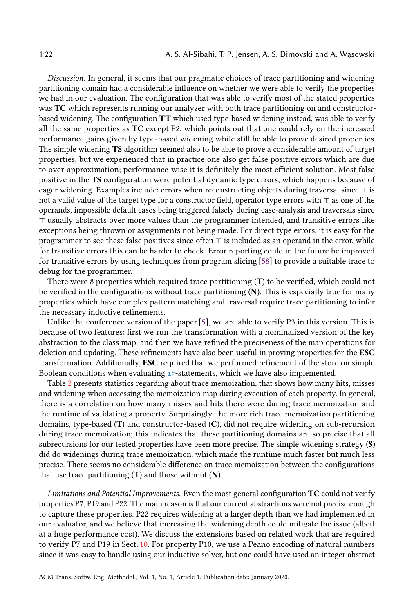Discussion. In general, it seems that our pragmatic choices of trace partitioning and widening partitioning domain had a considerable influence on whether we were able to verify the properties we had in our evaluation. The configuration that was able to verify most of the stated properties was TC which represents running our analyzer with both trace partitioning on and constructorbased widening. The configuration TT which used type-based widening instead, was able to verify all the same properties as TC except P2, which points out that one could rely on the increased performance gains given by type-based widening while still be able to prove desired properties. The simple widening TS algorithm seemed also to be able to prove a considerable amount of target properties, but we experienced that in practice one also get false positive errors which are due to over-approximation; performance-wise it is definitely the most efficient solution. Most false positive in the TS configuration were potential dynamic type errors, which happens because of eager widening. Examples include: errors when reconstructing objects during traversal since ⊤ is not a valid value of the target type for a constructor field, operator type errors with ⊤ as one of the operands, impossible default cases being triggered falsely during case-analysis and traversals since ⊤ usually abstracts over more values than the programmer intended, and transitive errors like exceptions being thrown or assignments not being made. For direct type errors, it is easy for the programmer to see these false positives since often ⊤ is included as an operand in the error, while for transitive errors this can be harder to check. Error reporting could in the future be improved for transitive errors by using techniques from program slicing [\[58\]](#page-26-6) to provide a suitable trace to debug for the programmer.

There were 8 properties which required trace partitioning (T) to be verified, which could not be verified in the configurations without trace partitioning (N). This is especially true for many properties which have complex pattern matching and traversal require trace partitioning to infer the necessary inductive refinements.

Unlike the conference version of the paper [\[5\]](#page-24-2), we are able to verify P3 in this version. This is because of two features: first we run the transformation with a nominalized version of the key abstraction to the class map, and then we have refined the preciseness of the map operations for deletion and updating. These refinements have also been useful in proving properties for the ESC transformation. Additionally, ESC required that we performed refinement of the store on simple Boolean conditions when evaluating if-statements, which we have also implemented.

Table [2](#page-20-0) presents statistics regarding about trace memoization, that shows how many hits, misses and widening when accessing the memoization map during execution of each property. In general, there is a correlation on how many misses and hits there were during trace memoization and the runtime of validating a property. Surprisingly. the more rich trace memoization partitioning domains, type-based (T) and constructor-based (C), did not require widening on sub-recursion during trace memoization; this indicates that these partitioning domains are so precise that all subrecursions for our tested properties have been more precise. The simple widening strategy (S) did do widenings during trace memoization, which made the runtime much faster but much less precise. There seems no considerable difference on trace memoization between the configurations that use trace partitioning  $(T)$  and those without  $(N)$ .

Limitations and Potential Improvements. Even the most general configuration TC could not verify properties P7, P19 and P22. The main reason is that our current abstractions were not precise enough to capture these properties. P22 requires widening at a larger depth than we had implemented in our evaluator, and we believe that increasing the widening depth could mitigate the issue (albeit at a huge performance cost). We discuss the extensions based on related work that are required to verify P7 and P19 in Sect. [10.](#page-22-0) For property P10, we use a Peano encoding of natural numbers since it was easy to handle using our inductive solver, but one could have used an integer abstract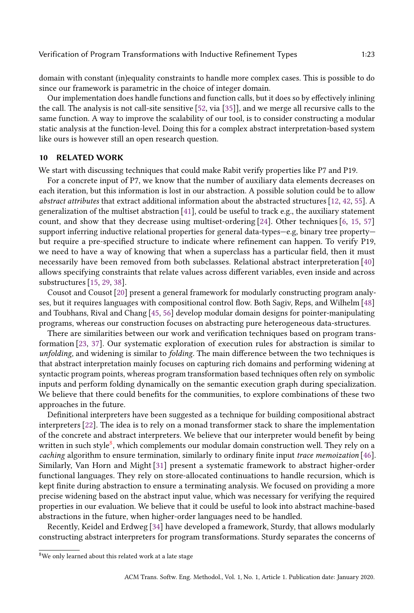domain with constant (in)equality constraints to handle more complex cases. This is possible to do since our framework is parametric in the choice of integer domain.

Our implementation does handle functions and function calls, but it does so by effectively inlining the call. The analysis is not call-site sensitive [\[52,](#page-26-7) via [\[35\]](#page-25-11)], and we merge all recursive calls to the same function. A way to improve the scalability of our tool, is to consider constructing a modular static analysis at the function-level. Doing this for a complex abstract interpretation-based system like ours is however still an open research question.

#### <span id="page-22-0"></span>10 RELATED WORK

We start with discussing techniques that could make Rabit verify properties like P7 and P19.

For a concrete input of P7, we know that the number of auxiliary data elements decreases on each iteration, but this information is lost in our abstraction. A possible solution could be to allow abstract attributes that extract additional information about the abstracted structures [\[12,](#page-24-13) [42,](#page-25-12) [55\]](#page-26-8). A generalization of the multiset abstraction [\[41\]](#page-25-13), could be useful to track e.g., the auxiliary statement count, and show that they decrease using multiset-ordering [\[24\]](#page-24-14). Other techniques [\[6,](#page-24-15) [15,](#page-24-16) [57\]](#page-26-9) support inferring inductive relational properties for general data-types—e.g, binary tree property but require a pre-specified structure to indicate where refinement can happen. To verify P19, we need to have a way of knowing that when a superclass has a particular field, then it must necessarily have been removed from both subclasses. Relational abstract interpreteration [\[40\]](#page-25-14) allows specifying constraints that relate values across different variables, even inside and across substructures [\[15,](#page-24-16) [29,](#page-25-15) [38\]](#page-25-16).

Cousot and Cousot [\[20\]](#page-24-17) present a general framework for modularly constructing program analyses, but it requires languages with compositional control flow. Both Sagiv, Reps, and Wilhelm [\[48\]](#page-25-17) and Toubhans, Rival and Chang [\[45,](#page-25-18) [56\]](#page-26-10) develop modular domain designs for pointer-manipulating programs, whereas our construction focuses on abstracting pure heterogeneous data-structures.

There are similarities between our work and verification techniques based on program transformation [\[23,](#page-24-18) [37\]](#page-25-19). Our systematic exploration of execution rules for abstraction is similar to unfolding, and widening is similar to folding. The main difference between the two techniques is that abstract interpretation mainly focuses on capturing rich domains and performing widening at syntactic program points, whereas program transformation based techniques often rely on symbolic inputs and perform folding dynamically on the semantic execution graph during specialization. We believe that there could benefits for the communities, to explore combinations of these two approaches in the future.

Definitional interpreters have been suggested as a technique for building compositional abstract interpreters [\[22\]](#page-24-19). The idea is to rely on a monad transformer stack to share the implementation of the concrete and abstract interpreters. We believe that our interpreter would benefit by being written in such style<sup>[8](#page-22-1)</sup>, which complements our modular domain construction well. They rely on a caching algorithm to ensure termination, similarly to ordinary finite input trace memoization [\[46\]](#page-25-3). Similarly, Van Horn and Might [\[31\]](#page-25-20) present a systematic framework to abstract higher-order functional languages. They rely on store-allocated continuations to handle recursion, which is kept finite during abstraction to ensure a terminating analysis. We focused on providing a more precise widening based on the abstract input value, which was necessary for verifying the required properties in our evaluation. We believe that it could be useful to look into abstract machine-based abstractions in the future, when higher-order languages need to be handled.

Recently, Keidel and Erdweg [\[34\]](#page-25-21) have developed a framework, Sturdy, that allows modularly constructing abstract interpreters for program transformations. Sturdy separates the concerns of

<span id="page-22-1"></span><sup>8</sup>We only learned about this related work at a late stage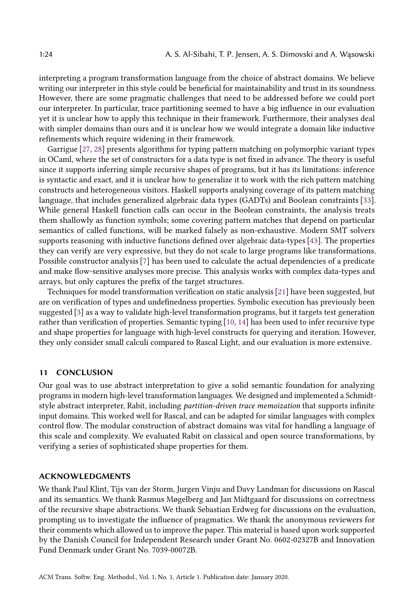interpreting a program transformation language from the choice of abstract domains. We believe writing our interpreter in this style could be beneficial for maintainability and trust in its soundness. However, there are some pragmatic challenges that need to be addressed before we could port our interpreter. In particular, trace partitioning seemed to have a big influence in our evaluation yet it is unclear how to apply this technique in their framework. Furthermore, their analyses deal with simpler domains than ours and it is unclear how we would integrate a domain like inductive refinements which require widening in their framework.

Garrigue [\[27,](#page-25-22) [28\]](#page-25-23) presents algorithms for typing pattern matching on polymorphic variant types in OCaml, where the set of constructors for a data type is not fixed in advance. The theory is useful since it supports inferring simple recursive shapes of programs, but it has its limitations: inference is syntactic and exact, and it is unclear how to generalize it to work with the rich pattern matching constructs and heterogeneous visitors. Haskell supports analysing coverage of its pattern matching language, that includes generalized algebraic data types (GADTs) and Boolean constraints [\[33\]](#page-25-24). While general Haskell function calls can occur in the Boolean constraints, the analysis treats them shallowly as function symbols; some covering pattern matches that depend on particular semantics of called functions, will be marked falsely as non-exhaustive. Modern SMT solvers supports reasoning with inductive functions defined over algebraic data-types [\[43\]](#page-25-25). The properties they can verify are very expressive, but they do not scale to large programs like transformations. Possible constructor analysis [\[7\]](#page-24-20) has been used to calculate the actual dependencies of a predicate and make flow-sensitive analyses more precise. This analysis works with complex data-types and arrays, but only captures the prefix of the target structures.

Techniques for model transformation verification on static analysis [\[21\]](#page-24-21) have been suggested, but are on verification of types and undefinedness properties. Symbolic execution has previously been suggested [\[3\]](#page-24-22) as a way to validate high-level transformation programs, but it targets test generation rather than verification of properties. Semantic typing [\[10,](#page-24-23) [14\]](#page-24-24) has been used to infer recursive type and shape properties for language with high-level constructs for querying and iteration. However, they only consider small calculi compared to Rascal Light, and our evaluation is more extensive.

## <span id="page-23-0"></span>11 CONCLUSION

Our goal was to use abstract interpretation to give a solid semantic foundation for analyzing programs in modern high-level transformation languages. We designed and implemented a Schmidtstyle abstract interpreter, Rabit, including partition-driven trace memoization that supports infinite input domains. This worked well for Rascal, and can be adapted for similar languages with complex control flow. The modular construction of abstract domains was vital for handling a language of this scale and complexity. We evaluated Rabit on classical and open source transformations, by verifying a series of sophisticated shape properties for them.

#### ACKNOWLEDGMENTS

We thank Paul Klint, Tijs van der Storm, Jurgen Vinju and Davy Landman for discussions on Rascal and its semantics. We thank Rasmus Møgelberg and Jan Midtgaard for discussions on correctness of the recursive shape abstractions. We thank Sebastian Erdweg for discussions on the evaluation, prompting us to investigate the influence of pragmatics. We thank the anonymous reviewers for their comments which allowed us to improve the paper. This material is based upon work supported by the Danish Council for Independent Research under Grant No. 0602-02327B and Innovation Fund Denmark under Grant No. 7039-00072B.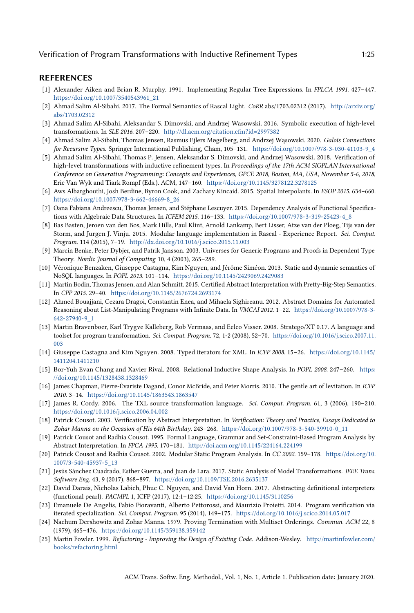## REFERENCES

- <span id="page-24-12"></span>[1] Alexander Aiken and Brian R. Murphy. 1991. Implementing Regular Tree Expressions. In FPLCA 1991. 427–447. [https://doi.org/10.1007/3540543961\\_21](https://doi.org/10.1007/3540543961_21)
- <span id="page-24-4"></span>[2] Ahmad Salim Al-Sibahi. 2017. The Formal Semantics of Rascal Light. CoRR abs/1703.02312 (2017). [http://arxiv.org/](http://arxiv.org/abs/1703.02312) [abs/1703.02312](http://arxiv.org/abs/1703.02312)
- <span id="page-24-22"></span>[3] Ahmad Salim Al-Sibahi, Aleksandar S. Dimovski, and Andrzej Wasowski. 2016. Symbolic execution of high-level transformations. In SLE 2016. 207–220. <http://dl.acm.org/citation.cfm?id=2997382>
- <span id="page-24-8"></span>[4] Ahmad Salim Al-Sibahi, Thomas Jensen, Rasmus Ejlers Møgelberg, and Andrzej Wąsowski. 2020. Galois Connections for Recursive Types. Springer International Publishing, Cham, 105–131. [https://doi.org/10.1007/978-3-030-41103-9\\_4](https://doi.org/10.1007/978-3-030-41103-9_4)
- <span id="page-24-2"></span>[5] Ahmad Salim Al-Sibahi, Thomas P. Jensen, Aleksandar S. Dimovski, and Andrzej Wasowski. 2018. Verification of high-level transformations with inductive refinement types. In Proceedings of the 17th ACM SIGPLAN International Conference on Generative Programming: Concepts and Experiences, GPCE 2018, Boston, MA, USA, November 5-6, 2018, Eric Van Wyk and Tiark Rompf (Eds.). ACM, 147–160. <https://doi.org/10.1145/3278122.3278125>
- <span id="page-24-15"></span>[6] Aws Albarghouthi, Josh Berdine, Byron Cook, and Zachary Kincaid. 2015. Spatial Interpolants. In ESOP 2015. 634–660. [https://doi.org/10.1007/978-3-662-46669-8\\_26](https://doi.org/10.1007/978-3-662-46669-8_26)
- <span id="page-24-20"></span>[7] Oana Fabiana Andreescu, Thomas Jensen, and Stéphane Lescuyer. 2015. Dependency Analysis of Functional Specifications with Algebraic Data Structures. In ICFEM 2015. 116-133. [https://doi.org/10.1007/978-3-319-25423-4\\_8](https://doi.org/10.1007/978-3-319-25423-4_8)
- <span id="page-24-11"></span>[8] Bas Basten, Jeroen van den Bos, Mark Hills, Paul Klint, Arnold Lankamp, Bert Lisser, Atze van der Ploeg, Tijs van der Storm, and Jurgen J. Vinju. 2015. Modular language implementation in Rascal - Experience Report. Sci. Comput. Program. 114 (2015), 7–19. <http://dx.doi.org/10.1016/j.scico.2015.11.003>
- <span id="page-24-6"></span>[9] Marcin Benke, Peter Dybjer, and Patrik Jansson. 2003. Universes for Generic Programs and Proofs in Dependent Type Theory. Nordic Journal of Computing 10, 4 (2003), 265–289.
- <span id="page-24-23"></span>[10] Véronique Benzaken, Giuseppe Castagna, Kim Nguyen, and Jérôme Siméon. 2013. Static and dynamic semantics of NoSQL languages. In POPL 2013. 101–114. <https://doi.org/10.1145/2429069.2429083>
- <span id="page-24-9"></span>[11] Martin Bodin, Thomas Jensen, and Alan Schmitt. 2015. Certified Abstract Interpretation with Pretty-Big-Step Semantics. In CPP 2015. 29–40. <https://doi.org/10.1145/2676724.2693174>
- <span id="page-24-13"></span>[12] Ahmed Bouajjani, Cezara Dragoi, Constantin Enea, and Mihaela Sighireanu. 2012. Abstract Domains for Automated Reasoning about List-Manipulating Programs with Infinite Data. In VMCAI 2012. 1–22. [https://doi.org/10.1007/978-3-](https://doi.org/10.1007/978-3-642-27940-9_1) [642-27940-9\\_1](https://doi.org/10.1007/978-3-642-27940-9_1)
- <span id="page-24-0"></span>[13] Martin Bravenboer, Karl Trygve Kalleberg, Rob Vermaas, and Eelco Visser. 2008. Stratego/XT 0.17. A language and toolset for program transformation. Sci. Comput. Program. 72, 1-2 (2008), 52–70. [https://doi.org/10.1016/j.scico.2007.11.](https://doi.org/10.1016/j.scico.2007.11.003) [003](https://doi.org/10.1016/j.scico.2007.11.003)
- <span id="page-24-24"></span>[14] Giuseppe Castagna and Kim Nguyen. 2008. Typed iterators for XML. In ICFP 2008. 15–26. [https://doi.org/10.1145/](https://doi.org/10.1145/1411204.1411210) [1411204.1411210](https://doi.org/10.1145/1411204.1411210)
- <span id="page-24-16"></span>[15] Bor-Yuh Evan Chang and Xavier Rival. 2008. Relational Inductive Shape Analysis. In POPL 2008. 247–260. [https:](https://doi.org/10.1145/1328438.1328469) [//doi.org/10.1145/1328438.1328469](https://doi.org/10.1145/1328438.1328469)
- <span id="page-24-7"></span>[16] James Chapman, Pierre-Évariste Dagand, Conor McBride, and Peter Morris. 2010. The gentle art of levitation. In ICFP 2010. 3–14. <https://doi.org/10.1145/1863543.1863547>
- <span id="page-24-1"></span>[17] James R. Cordy. 2006. The TXL source transformation language. Sci. Comput. Program. 61, 3 (2006), 190–210. <https://doi.org/10.1016/j.scico.2006.04.002>
- <span id="page-24-5"></span>[18] Patrick Cousot. 2003. Verification by Abstract Interpretation. In Verification: Theory and Practice, Essays Dedicated to Zohar Manna on the Occasion of His 64th Birthday. 243–268. [https://doi.org/10.1007/978-3-540-39910-0\\_11](https://doi.org/10.1007/978-3-540-39910-0_11)
- <span id="page-24-3"></span>[19] Patrick Cousot and Radhia Cousot. 1995. Formal Language, Grammar and Set-Constraint-Based Program Analysis by Abstract Interpretation. In FPCA 1995. 170–181. <http://doi.acm.org/10.1145/224164.224199>
- <span id="page-24-17"></span>[20] Patrick Cousot and Radhia Cousot. 2002. Modular Static Program Analysis. In CC 2002. 159–178. [https://doi.org/10.](https://doi.org/10.1007/3-540-45937-5_13) [1007/3-540-45937-5\\_13](https://doi.org/10.1007/3-540-45937-5_13)
- <span id="page-24-21"></span>[21] Jesús Sánchez Cuadrado, Esther Guerra, and Juan de Lara. 2017. Static Analysis of Model Transformations. IEEE Trans. Software Eng. 43, 9 (2017), 868–897. <https://doi.org/10.1109/TSE.2016.2635137>
- <span id="page-24-19"></span>[22] David Darais, Nicholas Labich, Phuc C. Nguyen, and David Van Horn. 2017. Abstracting definitional interpreters (functional pearl). PACMPL 1, ICFP (2017), 12:1–12:25. <https://doi.org/10.1145/3110256>
- <span id="page-24-18"></span>[23] Emanuele De Angelis, Fabio Fioravanti, Alberto Pettorossi, and Maurizio Proietti. 2014. Program verification via iterated specialization. Sci. Comput. Program. 95 (2014), 149–175. <https://doi.org/10.1016/j.scico.2014.05.017>
- <span id="page-24-14"></span>[24] Nachum Dershowitz and Zohar Manna. 1979. Proving Termination with Multiset Orderings. Commun. ACM 22, 8 (1979), 465–476. <https://doi.org/10.1145/359138.359142>
- <span id="page-24-10"></span>[25] Martin Fowler. 1999. Refactoring - Improving the Design of Existing Code. Addison-Wesley. [http://martinfowler.com/](http://martinfowler.com/books/refactoring.html) [books/refactoring.html](http://martinfowler.com/books/refactoring.html)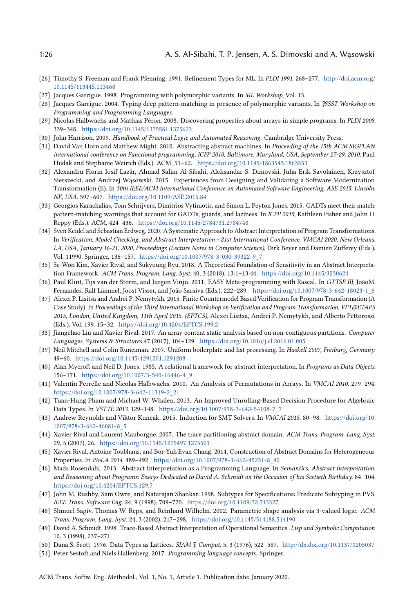- <span id="page-25-6"></span>[26] Timothy S. Freeman and Frank Pfenning. 1991. Refinement Types for ML. In PLDI 1991. 268–277. [http://doi.acm.org/](http://doi.acm.org/10.1145/113445.113468) [10.1145/113445.113468](http://doi.acm.org/10.1145/113445.113468)
- <span id="page-25-22"></span>[27] Jacques Garrigue. 1998. Programming with polymorphic variants. In ML Workshop, Vol. 13.
- <span id="page-25-23"></span>[28] Jacques Garrigue. 2004. Typing deep pattern-matching in presence of polymorphic variants. In JSSST Workshop on Programming and Programming Languages.
- <span id="page-25-15"></span>[29] Nicolas Halbwachs and Mathias Péron. 2008. Discovering properties about arrays in simple programs. In PLDI 2008. 339–348. <https://doi.org/10.1145/1375581.1375623>
- <span id="page-25-8"></span>[30] John Harrison. 2009. Handbook of Practical Logic and Automated Reasoning. Cambridge University Press.
- <span id="page-25-20"></span>[31] David Van Horn and Matthew Might. 2010. Abstracting abstract machines. In Proceeding of the 15th ACM SIGPLAN international conference on Functional programming, ICFP 2010, Baltimore, Maryland, USA, September 27-29, 2010, Paul Hudak and Stephanie Weirich (Eds.). ACM, 51–62. <https://doi.org/10.1145/1863543.1863553>
- <span id="page-25-10"></span>[32] Alexandru Florin Iosif-Lazăr, Ahmad Salim Al-Sibahi, Aleksandar S. Dimovski, Juha Erik Savolainen, Krzysztof Sierszecki, and Andrzej Wąsowski. 2015. Experiences from Designing and Validating a Software Modernization Transformation (E). In 30th IEEE/ACM International Conference on Automated Software Engineering, ASE 2015, Lincoln, NE, USA. 597–607. <https://doi.org/10.1109/ASE.2015.84>
- <span id="page-25-24"></span>[33] Georgios Karachalias, Tom Schrijvers, Dimitrios Vytiniotis, and Simon L. Peyton Jones. 2015. GADTs meet their match: pattern-matching warnings that account for GADTs, guards, and laziness. In ICFP 2015, Kathleen Fisher and John H. Reppy (Eds.). ACM, 424–436. <https://doi.org/10.1145/2784731.2784748>
- <span id="page-25-21"></span>[34] Sven Keidel and Sebastian Erdweg. 2020. A Systematic Approach to Abstract Interpretation of Program Transformations. In Verification, Model Checking, and Abstract Interpretation - 21st International Conference, VMCAI 2020, New Orleans, LA, USA, January 16-21, 2020, Proceedings (Lecture Notes in Computer Science), Dirk Beyer and Damien Zufferey (Eds.), Vol. 11990. Springer, 136–157. [https://doi.org/10.1007/978-3-030-39322-9\\_7](https://doi.org/10.1007/978-3-030-39322-9_7)
- <span id="page-25-11"></span>[35] Se-Won Kim, Xavier Rival, and Sukyoung Ryu. 2018. A Theoretical Foundation of Sensitivity in an Abstract Interpretation Framework. ACM Trans. Program. Lang. Syst. 40, 3 (2018), 13:1–13:44. <https://doi.org/10.1145/3230624>
- <span id="page-25-0"></span>[36] Paul Klint, Tijs van der Storm, and Jurgen Vinju. 2011. EASY Meta-programming with Rascal. In GTTSE III, JoãoM. Fernandes, Ralf Lämmel, Joost Visser, and João Saraiva (Eds.). 222–289. [https://doi.org/10.1007/978-3-642-18023-1\\_6](https://doi.org/10.1007/978-3-642-18023-1_6)
- <span id="page-25-19"></span>[37] Alexei P. Lisitsa and Andrei P. Nemytykh. 2015. Finite Countermodel Based Verification for Program Transformation (A Case Study). In Proceedings of the Third International Workshop on Verification and Program Transformation, VPT@ETAPS 2015, London, United Kingdom, 11th April 2015. (EPTCS), Alexei Lisitsa, Andrei P. Nemytykh, and Alberto Pettorossi (Eds.), Vol. 199. 15–32. <https://doi.org/10.4204/EPTCS.199.2>
- <span id="page-25-16"></span>[38] Jiangchao Liu and Xavier Rival. 2017. An array content static analysis based on non-contiguous partitions. Computer Languages, Systems & Structures 47 (2017), 104–129. <https://doi.org/10.1016/j.cl.2016.01.005>
- <span id="page-25-1"></span>[39] Neil Mitchell and Colin Runciman. 2007. Uniform boilerplate and list processing. In Haskell 2007, Freiburg, Germany. 49–60. <https://doi.org/10.1145/1291201.1291208>
- <span id="page-25-14"></span>[40] Alan Mycroft and Neil D. Jones. 1985. A relational framework for abstract interpretation. In Programs as Data Objects. 156–171. [https://doi.org/10.1007/3-540-16446-4\\_9](https://doi.org/10.1007/3-540-16446-4_9)
- <span id="page-25-13"></span>[41] Valentin Perrelle and Nicolas Halbwachs. 2010. An Analysis of Permutations in Arrays. In VMCAI 2010. 279–294. [https://doi.org/10.1007/978-3-642-11319-2\\_21](https://doi.org/10.1007/978-3-642-11319-2_21)
- <span id="page-25-12"></span>[42] Tuan-Hung Pham and Michael W. Whalen. 2013. An Improved Unrolling-Based Decision Procedure for Algebraic Data Types. In VSTTE 2013. 129–148. [https://doi.org/10.1007/978-3-642-54108-7\\_7](https://doi.org/10.1007/978-3-642-54108-7_7)
- <span id="page-25-25"></span>[43] Andrew Reynolds and Viktor Kuncak. 2015. Induction for SMT Solvers. In VMCAI 2015. 80–98. [https://doi.org/10.](https://doi.org/10.1007/978-3-662-46081-8_5) [1007/978-3-662-46081-8\\_5](https://doi.org/10.1007/978-3-662-46081-8_5)
- <span id="page-25-4"></span>[44] Xavier Rival and Laurent Mauborgne. 2007. The trace partitioning abstract domain. ACM Trans. Program. Lang. Syst. 29, 5 (2007), 26. <https://doi.org/10.1145/1275497.1275501>
- <span id="page-25-18"></span>[45] Xavier Rival, Antoine Toubhans, and Bor-Yuh Evan Chang. 2014. Construction of Abstract Domains for Heterogeneous Properties. In ISoLA 2014. 489–492. [https://doi.org/10.1007/978-3-662-45231-8\\_40](https://doi.org/10.1007/978-3-662-45231-8_40)
- <span id="page-25-3"></span>[46] Mads Rosendahl. 2013. Abstract Interpretation as a Programming Language. In Semantics, Abstract Interpretation, and Reasoning about Programs: Essays Dedicated to David A. Schmidt on the Occasion of his Sixtieth Birthday. 84–104. <https://doi.org/10.4204/EPTCS.129.7>
- <span id="page-25-7"></span>[47] John M. Rushby, Sam Owre, and Natarajan Shankar. 1998. Subtypes for Specifications: Predicate Subtyping in PVS. IEEE Trans. Software Eng. 24, 9 (1998), 709–720. <https://doi.org/10.1109/32.713327>
- <span id="page-25-17"></span>[48] Shmuel Sagiv, Thomas W. Reps, and Reinhard Wilhelm. 2002. Parametric shape analysis via 3-valued logic. ACM Trans. Program. Lang. Syst. 24, 3 (2002), 217–298. <https://doi.org/10.1145/514188.514190>
- <span id="page-25-2"></span>[49] David A. Schmidt. 1998. Trace-Based Abstract Interpretation of Operational Semantics. Lisp and Symbolic Computation 10, 3 (1998), 237–271.
- <span id="page-25-5"></span>[50] Dana S. Scott. 1976. Data Types as Lattices. SIAM J. Comput. 5, 3 (1976), 522–587. <http://dx.doi.org/10.1137/0205037>
- <span id="page-25-9"></span>[51] Peter Sestoft and Niels Hallenberg. 2017. Programming language concepts. Springer.

ACM Trans. Softw. Eng. Methodol., Vol. 1, No. 1, Article 1. Publication date: January 2020.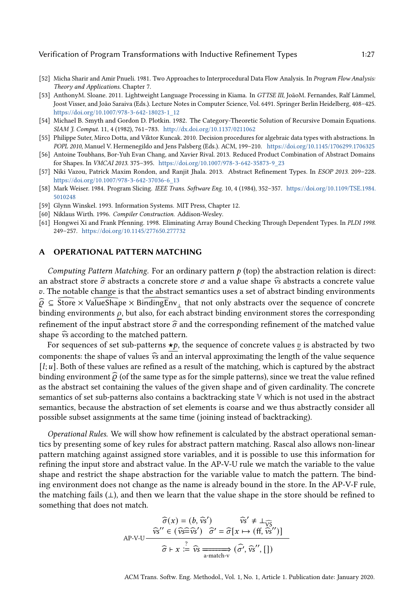- <span id="page-26-7"></span>[52] Micha Sharir and Amir Pnueli. 1981. Two Approaches to Interprocedural Data Flow Analysis. In Program Flow Analysis: Theory and Applications. Chapter 7.
- <span id="page-26-0"></span>[53] AnthonyM. Sloane. 2011. Lightweight Language Processing in Kiama. In GTTSE III, JoãoM. Fernandes, Ralf Lämmel, Joost Visser, and João Saraiva (Eds.). Lecture Notes in Computer Science, Vol. 6491. Springer Berlin Heidelberg, 408–425. [https://doi.org/10.1007/978-3-642-18023-1\\_12](https://doi.org/10.1007/978-3-642-18023-1_12)
- <span id="page-26-3"></span>[54] Michael B. Smyth and Gordon D. Plotkin. 1982. The Category-Theoretic Solution of Recursive Domain Equations. SIAM J. Comput. 11, 4 (1982), 761–783. <http://dx.doi.org/10.1137/0211062>
- <span id="page-26-8"></span>[55] Philippe Suter, Mirco Dotta, and Viktor Kuncak. 2010. Decision procedures for algebraic data types with abstractions. In POPL 2010, Manuel V. Hermenegildo and Jens Palsberg (Eds.). ACM, 199–210. <https://doi.org/10.1145/1706299.1706325>
- <span id="page-26-10"></span>[56] Antoine Toubhans, Bor-Yuh Evan Chang, and Xavier Rival. 2013. Reduced Product Combination of Abstract Domains for Shapes. In VMCAI 2013. 375–395. [https://doi.org/10.1007/978-3-642-35873-9\\_23](https://doi.org/10.1007/978-3-642-35873-9_23)
- <span id="page-26-9"></span>[57] Niki Vazou, Patrick Maxim Rondon, and Ranjit Jhala. 2013. Abstract Refinement Types. In ESOP 2013. 209–228. [https://doi.org/10.1007/978-3-642-37036-6\\_13](https://doi.org/10.1007/978-3-642-37036-6_13)
- <span id="page-26-6"></span>[58] Mark Weiser. 1984. Program Slicing. IEEE Trans. Software Eng. 10, 4 (1984), 352–357. [https://doi.org/10.1109/TSE.1984.](https://doi.org/10.1109/TSE.1984.5010248) [5010248](https://doi.org/10.1109/TSE.1984.5010248)
- <span id="page-26-1"></span>[59] Glynn Winskel. 1993. Information Systems. MIT Press, Chapter 12.
- <span id="page-26-5"></span>[60] Niklaus Wirth. 1996. Compiler Construction. Addison-Wesley.
- <span id="page-26-2"></span>[61] Hongwei Xi and Frank Pfenning. 1998. Eliminating Array Bound Checking Through Dependent Types. In PLDI 1998. 249–257. <https://doi.org/10.1145/277650.277732>

## <span id="page-26-4"></span>A OPERATIONAL PATTERN MATCHING

Computing Pattern Matching. For an ordinary pattern  $p$  (top) the abstraction relation is direct: an abstract store  $\hat{\sigma}$  abstracts a concrete store  $\sigma$  and a value shape  $\hat{v}$  abstracts a concrete value . The notable change is that the abstract semantics uses a set of abstract binding environments  $\hat{\rho} \subseteq \widehat{\text{Store}} \times \widehat{\text{ValueShape}} \times \widehat{\text{BindingEnv}}_1$  that not only abstracts over the sequence of concrete binding environments  $\rho$ , but also, for each abstract binding environment stores the corresponding refinement of the input abstract store  $\hat{\sigma}$  and the corresponding refinement of the matched value shape  $\hat{v}$ s according to the matched pattern.

For sequences of set sub-patterns  $\star p$ , the sequence of concrete values  $v$  is abstracted by two components: the shape of values  $\hat{v}$ s and an interval approximating the length of the value sequence  $[i, u]$ . Both of these values are refined as a result of the matching, which is captured by the abstract binding environment  $\hat{\rho}$  (of the same type as for the simple patterns), since we treat the value refined as the abstract set containing the values of the given shape and of given cardinality. The concrete semantics of set sub-patterns also contains a backtracking state **V** which is not used in the abstract semantics, because the abstraction of set elements is coarse and we thus abstractly consider all possible subset assignments at the same time (joining instead of backtracking).

Operational Rules. We will show how refinement is calculated by the abstract operational semantics by presenting some of key rules for abstract pattern matching. Rascal also allows non-linear pattern matching against assigned store variables, and it is possible to use this information for refining the input store and abstract value. In the AP-V-U rule we match the variable to the value shape and restrict the shape abstraction for the variable value to match the pattern. The binding environment does not change as the name is already bound in the store. In the AP-V-F rule, the matching fails (⊥), and then we learn that the value shape in the store should be refined to something that does not match.

$$
\widehat{\sigma}(x) = (b, \widehat{vs}') \qquad \widehat{vs}' \neq \bot_{\widehat{VS}}
$$
  
AP-V-U  

$$
\widehat{vs}'' \in (\widehat{vs} \widehat{= vs}') \quad \widehat{\sigma}' = \widehat{\sigma}[x \mapsto (ff, \widehat{vs}'')]
$$

$$
\widehat{\sigma} \vdash x \stackrel{?}{:=} \widehat{vs} \xrightarrow[\text{a-match-v}]{}
$$

$$
(\widehat{\sigma}', \widehat{vs}'', [])
$$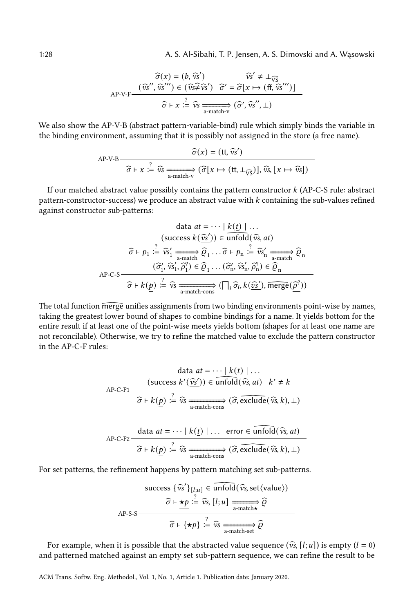1:28 A. S. Al-Sibahi, T. P. Jensen, A. S. Dimovski and A. Wąsowski

$$
\widehat{\sigma}(x) = (b, \widehat{vs}') \qquad \widehat{vs}' \neq \bot_{\widehat{VS}}
$$
  
AP-V-F
$$
\frac{(\widehat{vs}'', \widehat{vs}'') \in (\widehat{vs} \neq \widehat{vs}') \quad \widehat{\sigma}' = \widehat{\sigma}[x \mapsto (ff, \widehat{vs}'')]
$$

$$
\widehat{\sigma} \vdash x \stackrel{?}{\coloneqq} \widehat{vs} \xrightarrow{\text{a-match-v}} (\widehat{\sigma}', \widehat{vs}'', \bot)
$$

We also show the AP-V-B (abstract pattern-variable-bind) rule which simply binds the variable in the binding environment, assuming that it is possibly not assigned in the store (a free name).

AP-V-B  
\n
$$
\widehat{\sigma}(x) = (\text{tt}, \widehat{\nu}\text{s}')
$$
\n
$$
\widehat{\sigma} \vdash x \stackrel{?}{:=} \widehat{\nu}\text{s} \xrightarrow[\text{a-match-v}]{}
$$
\n
$$
(\widehat{\sigma}[x \mapsto (\text{tt}, \perp_{\widehat{\nu}\text{s}})], \widehat{\nu}\text{s}, [x \mapsto \widehat{\nu}\text{s}])
$$

If our matched abstract value possibly contains the pattern constructor  $k$  (AP-C-S rule: abstract pattern-constructor-success) we produce an abstract value with  $k$  containing the sub-values refined against constructor sub-patterns:

data 
$$
at = \cdots | k(\underline{t}) | \cdots
$$
  
\n(success  $k(\widehat{\underline{vs}}')) \in \overline{unfold}(\widehat{vs}, at)$   
\n $\widehat{\sigma} \vdash p_1 \stackrel{?}{\coloneqq} \widehat{vs}_1' \xrightarrow[\overline{a-match}]{\overline{\alpha}} \widehat{\varrho}_1 \cdots \widehat{\sigma} \vdash p_n \stackrel{?}{\coloneqq} \widehat{vs}_n' \xrightarrow[\overline{a-match}]{\overline{\alpha}} \widehat{\varrho}_n$   
\nAP-C-S  
\n $\widehat{\sigma} \vdash k(\underline{p}) \stackrel{?}{\coloneqq} \widehat{vs} \xrightarrow[\overline{a-match-cons}]{\overline{\alpha}} (\bigcap_i \widehat{\sigma}_i, k(\widehat{\underline{vs}}'), \overline{merge}(\widehat{\underline{\rho}}'))$ 

The total function merge unifies assignments from two binding environments point-wise by names, taking the greatest lower bound of shapes to combine bindings for a name. It yields bottom for the entire result if at least one of the point-wise meets yields bottom (shapes for at least one name are not reconcilable). Otherwise, we try to refine the matched value to exclude the pattern constructor in the AP-C-F rules:

data at = 
$$
\cdots
$$
 |  $k(\underline{t})$  | ...  
\nAP-C-F1  
\n
$$
\overbrace{\widehat{\sigma} \vdash k(\underline{p}) \vdots \widehat{\nu} s}^2 \xrightarrow[\text{a-match-cons}]{\widehat{\sigma} \vdash k(\underline{p}) \vdots \widehat{\nu} s}^2 \xrightarrow[\text{a-match-cons}]{\widehat{\sigma}, \text{exclude}(\widehat{\nu} s, k), \bot)}
$$
\nAP-C-F2  
\n
$$
\overbrace{\widehat{\sigma} \vdash k(\underline{p}) \vdots \widehat{\nu} s}^2 \xrightarrow[\text{a-match-cons}]{\widehat{\sigma}, \text{exclude}(\widehat{\nu} s, k), \bot)}
$$

For set patterns, the refinement happens by pattern matching set sub-patterns.

success {
$$
\widehat{vs}'
$$
}<sub>[l,u]</sub>  $\in$   $\widehat{unfold}(\widehat{vs}, \text{set}(\text{value}))$   
\n $\widehat{\sigma} \vdash \underline{\star p} \stackrel{?}{\coloneq} \widehat{vs}, [l; u] \xrightarrow[\text{a-match}\underline{\star}]{\text{a-match}\underline{\star}} \widehat{Q}$   
\nAP-S-S  
\n $\widehat{\sigma} \vdash {\underline{\star p}} \stackrel{?}{\coloneqq} \widehat{vs} \xrightarrow[\text{a-match-set}]{\text{a-match-set}} \widehat{Q}$ 

For example, when it is possible that the abstracted value sequence  $(\hat{v}_s, [l;u])$  is empty  $(l = 0)$ and patterned matched against an empty set sub-pattern sequence, we can refine the result to be

ACM Trans. Softw. Eng. Methodol., Vol. 1, No. 1, Article 1. Publication date: January 2020.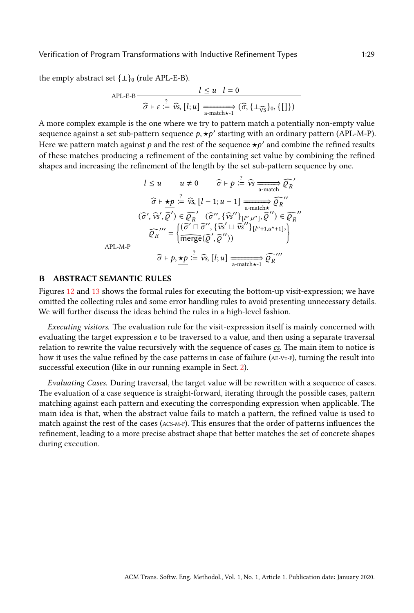the empty abstract set  $\{\perp\}$ <sup>0</sup> (rule APL-E-B).

$$
APL-E-B
$$
\n
$$
\overline{\widehat{\sigma} \vdash \varepsilon := \widehat{\nu s}, [l; u] \xrightarrow[\text{a-match} \star^{-1}]} (\widehat{\sigma}, \{\bot_{\widehat{\nu s}}\}_0, \{[] \})}
$$

A more complex example is the one where we try to pattern match a potentially non-empty value sequence against a set sub-pattern sequence  $p, \star p'$  starting with an ordinary pattern (APL-M-P). Here we pattern match against  $p$  and the rest of the sequence  $\star p'$  and combine the refined results of these matches producing a refinement of the containing set value by combining the refined shapes and increasing the refinement of the length by the set sub-pattern sequence by one.

$$
l \le u \qquad u \ne 0 \qquad \widehat{\sigma} \vdash p \stackrel{?}{\coloneqq} \widehat{v}_{\widehat{S}} \xrightarrow[\text{a-match}]{\widehat{\sigma} \upharpoonright p'}
$$

$$
\widehat{\sigma} \vdash \star p \stackrel{?}{\coloneqq} \widehat{v}_{\widehat{S}}, [l-1; u-1] \xrightarrow[\text{a-match}]{\text{a-match}} \widehat{Q_R}''
$$

$$
(\widehat{\sigma}', \widehat{v}_{\widehat{S}}, \widehat{\varrho}') \in \widehat{\varrho_R}' \quad (\widehat{\sigma}'', \{\widehat{v}_{\widehat{S}}''\}|_{[l'', u'']}, \widehat{\varrho}'') \in \widehat{\varrho_R}''
$$

$$
\widehat{\varrho_R}''' = \left\{ \frac{(\widehat{\sigma}' \sqcap \widehat{\sigma}'', \{\widehat{v}_{\widehat{S}}' \sqcup \widehat{v}_{\widehat{S}}''\}|_{[l''+1, u''+1]})}{\widehat{\text{merge}}(\widehat{\varrho}', \widehat{\varrho}''))} \right\}
$$
APL-M-P\n
$$
\widehat{\sigma} \vdash p, \underbrace{\star p} \stackrel{?}{\coloneqq} \widehat{v}_{\widehat{S}}, [l; u] \xrightarrow[\text{a-match}]{\text{a-match}} \widehat{\varrho_R}'''
$$

## <span id="page-28-0"></span>**ABSTRACT SEMANTIC RULES**

Figures [12](#page-31-0) and [13](#page-32-1) shows the formal rules for executing the bottom-up visit-expression; we have omitted the collecting rules and some error handling rules to avoid presenting unnecessary details. We will further discuss the ideas behind the rules in a high-level fashion.

Executing visitors. The evaluation rule for the visit-expression itself is mainly concerned with evaluating the target expression  $e$  to be traversed to a value, and then using a separate traversal relation to rewrite the value recursively with the sequence of cases cs. The main item to notice is how it uses the value refined by the case patterns in case of failure  $(AE-VT-F)$ , turning the result into successful execution (like in our running example in Sect. [2\)](#page-2-0).

Evaluating Cases. During traversal, the target value will be rewritten with a sequence of cases. The evaluation of a case sequence is straight-forward, iterating through the possible cases, pattern matching against each pattern and executing the corresponding expression when applicable. The main idea is that, when the abstract value fails to match a pattern, the refined value is used to match against the rest of the cases (ACS-M-F). This ensures that the order of patterns influences the refinement, leading to a more precise abstract shape that better matches the set of concrete shapes during execution.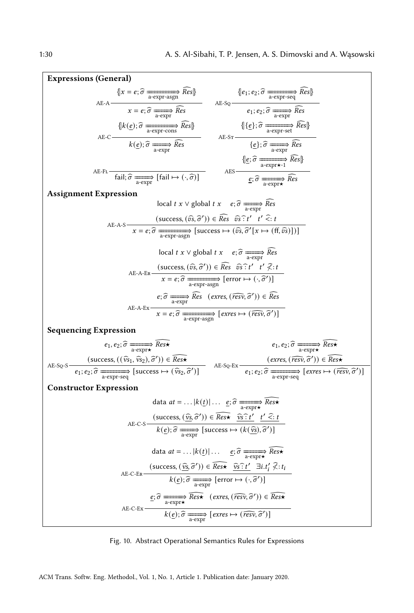| <b>Expressions (General)</b>                                                                                                                                                                                                                                                                                                                                                                                                                                                                                                                        |
|-----------------------------------------------------------------------------------------------------------------------------------------------------------------------------------------------------------------------------------------------------------------------------------------------------------------------------------------------------------------------------------------------------------------------------------------------------------------------------------------------------------------------------------------------------|
| $\{x=e;\widehat{\sigma} \xrightarrow[\text{a-expr-asgn}]{\widehat{Res}} \widehat{Res} \} \qquad \{e_1;e_2;\widehat{\sigma} \xrightarrow[\text{a-expr-seq}]{\widehat{Res}} \widehat{Res} \}$<br>$\text{AE-SQ} \xrightarrow[\text{a-expr}]{\widehat{Res}} \widehat{Res}$                                                                                                                                                                                                                                                                              |
|                                                                                                                                                                                                                                                                                                                                                                                                                                                                                                                                                     |
| $\begin{picture}(450,40) \put(0,0){\vector(0,1){30}} \put(15,0){\vector(0,1){30}} \put(15,0){\vector(0,1){30}} \put(15,0){\vector(0,1){30}} \put(15,0){\vector(0,1){30}} \put(15,0){\vector(0,1){30}} \put(15,0){\vector(0,1){30}} \put(15,0){\vector(0,1){30}} \put(15,0){\vector(0,1){30}} \put(15,0){\vector(0,1){30}} \put(15,0){\vector(0,1){30}} \put(15,0){\vector($                                                                                                                                                                         |
|                                                                                                                                                                                                                                                                                                                                                                                                                                                                                                                                                     |
| $\{\underline{e}; \widehat{\sigma} \xrightarrow[\text{a-expr\star-1]{}} \widehat{Res}\}$                                                                                                                                                                                                                                                                                                                                                                                                                                                            |
| AES $\underbrace{e; \hat{\sigma} \xrightarrow[\text{a-expr}\star]{}} \widehat{Res}$<br>$AE$ - $FL$ –<br>$\overrightarrow{\text{fail}}$ ; $\widehat{\sigma} \xrightarrow[\text{a-expr}]{\text{fail}}$ $\mapsto (\cdot, \widehat{\sigma})$                                                                                                                                                                                                                                                                                                            |
| <b>Assignment Expression</b>                                                                                                                                                                                                                                                                                                                                                                                                                                                                                                                        |
| local $t \times \vee$ global $t \times e$ ; $\widehat{\sigma} \longrightarrow \widehat{Res}$                                                                                                                                                                                                                                                                                                                                                                                                                                                        |
|                                                                                                                                                                                                                                                                                                                                                                                                                                                                                                                                                     |
| AE-A-S $(xcscs, (\hat{vs}, \hat{\sigma}')) \in \widehat{Res} \widehat{vs} : t' \widehat{t}' \widehat{s}: t$<br>$x = e; \widehat{\sigma} \xrightarrow[a-expr-asgn]{} [success \mapsto (\widehat{vs}, \widehat{\sigma}'[x \mapsto (ff, \widehat{vs})])]$                                                                                                                                                                                                                                                                                              |
| local $t \times \vee$ global $t \times e$ ; $\widehat{\sigma} \longrightarrow \widehat{Res}$                                                                                                                                                                                                                                                                                                                                                                                                                                                        |
|                                                                                                                                                                                                                                                                                                                                                                                                                                                                                                                                                     |
| (success, $(\hat{v}s, \hat{\sigma}') \in \widehat{Res}$ $\hat{v}s : t' \neq t' \hat{\chi}$ :<br>$x = e; \hat{\sigma}$ $\xrightarrow{a \text{ expr-asgn}} [\text{error} \mapsto (\cdot, \hat{\sigma}')]$<br>AE-A-ER-                                                                                                                                                                                                                                                                                                                                 |
| $e; \widehat{\sigma} \xrightarrow[\text{a-expr}]{\widehat{Res}} \text{ (exres, (}\widehat{resv}, \widehat{\sigma}')) \in \widehat{Res}$                                                                                                                                                                                                                                                                                                                                                                                                             |
| AE-A-Ex $x = e; \hat{\sigma}$ $\xrightarrow[\text{a-expr-asgn}]{\text{exres} \mapsto (\widehat{resv}, \hat{\sigma}')]}$                                                                                                                                                                                                                                                                                                                                                                                                                             |
|                                                                                                                                                                                                                                                                                                                                                                                                                                                                                                                                                     |
| <b>Sequencing Expression</b>                                                                                                                                                                                                                                                                                                                                                                                                                                                                                                                        |
| $e_1, e_2$ ; $\widehat{\sigma} \longrightarrow \widehat{Res_{\sigma}}$<br>$e_1, e_2$ ; $\widehat{\sigma} \xrightarrow[\text{a-expr}\star]{\text{Res}}$                                                                                                                                                                                                                                                                                                                                                                                              |
|                                                                                                                                                                                                                                                                                                                                                                                                                                                                                                                                                     |
| $\texttt{AE-SQ-S}\xrightarrow{\qquad \qquad \texttt{\textbf{(success, ((\widehat{vs}_1, \widehat{vs}_2), \widehat{\sigma}')) \in \widehat{Res} \star \qquad \qquad \qquad \texttt{\textbf{A}E-SQ-Ex}}}\xrightarrow{\qquad \qquad \texttt{\textbf{(exres, (\widehat{resv}, \widehat{\sigma}')) \in \widehat{Res} \star \qquad \qquad \qquad \qquad \texttt{\textbf{A}E-SQ-Ex}}}\xrightarrow{\qquad \qquad \texttt{\textbf{(exres, (\widehat{resv}, \widehat{\sigma}')) \in \widehat{Res} \star \qquad \qquad \qquad \qquad \qquad \texttt{\textbf{A$ |
| <b>Constructor Expression</b>                                                                                                                                                                                                                                                                                                                                                                                                                                                                                                                       |
| data $at =   k(\underline{t})   \underline{e}; \widehat{\sigma} \longrightarrow \text{Res} \star$                                                                                                                                                                                                                                                                                                                                                                                                                                                   |
|                                                                                                                                                                                                                                                                                                                                                                                                                                                                                                                                                     |
| AE-C-S $(\text{success}, (\hat{v}_s, \hat{\sigma}')) \in \widehat{Res} \widehat{\bullet} \widehat{v}_s : t' \text{ } t' \widehat{\le} : t$<br>$k(\underline{e}); \widehat{\sigma} \longrightarrow \text{success} \mapsto (k(\hat{v}_s), \widehat{\sigma}')$                                                                                                                                                                                                                                                                                         |
| data $at =   k(\underline{t})   \quad \underline{e}; \widehat{\sigma} \longrightarrow \widehat{Res}$                                                                                                                                                                                                                                                                                                                                                                                                                                                |
|                                                                                                                                                                                                                                                                                                                                                                                                                                                                                                                                                     |
| (success, $(\widehat{\underline{v}}\underline{s}, \widehat{\sigma}')$ ) $\in \widehat{Res}$ $\widehat{\underline{v}}\underline{s} : t'$ $\exists i.t'_i \not\leq t_i$<br>AE-C-ER                                                                                                                                                                                                                                                                                                                                                                    |
| $k(\underline{\mathit{e}}); \widehat{\sigma} \xrightarrow[\text{a-expr}]{\longrightarrow} [\text{error} \mapsto (\cdot, \widehat{\sigma}')]$                                                                                                                                                                                                                                                                                                                                                                                                        |
| $\underline{e}; \widehat{\sigma} \xrightarrow[\text{a-expr}\star]{} \widehat{Res}{} \star \quad (\textit{exres}, (\widehat{resv}, \widehat{\sigma}')) \in \widehat{Res}{} \star$<br>AE-C-Ex                                                                                                                                                                                                                                                                                                                                                         |
| $k(\underline{e}); \widehat{\sigma} \longrightarrow \left[\text{exres} \mapsto (\widehat{\text{resv}}, \widehat{\sigma}')\right]$                                                                                                                                                                                                                                                                                                                                                                                                                   |

Fig. 10. Abstract Operational Semantics Rules for Expressions

ACM Trans. Softw. Eng. Methodol., Vol. 1, No. 1, Article 1. Publication date: January 2020.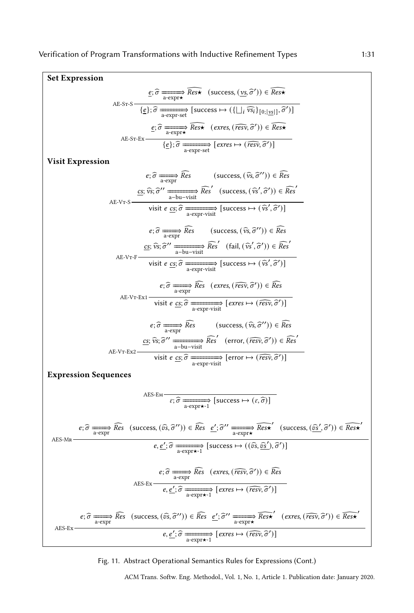

Fig. 11. Abstract Operational Semantics Rules for Expressions (Cont.)

ACM Trans. Softw. Eng. Methodol., Vol. 1, No. 1, Article 1. Publication date: January 2020.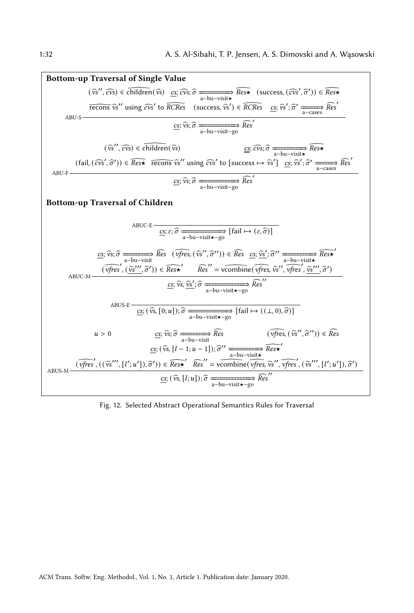<span id="page-31-0"></span>

Fig. 12. Selected Abstract Operational Semantics Rules for Traversal